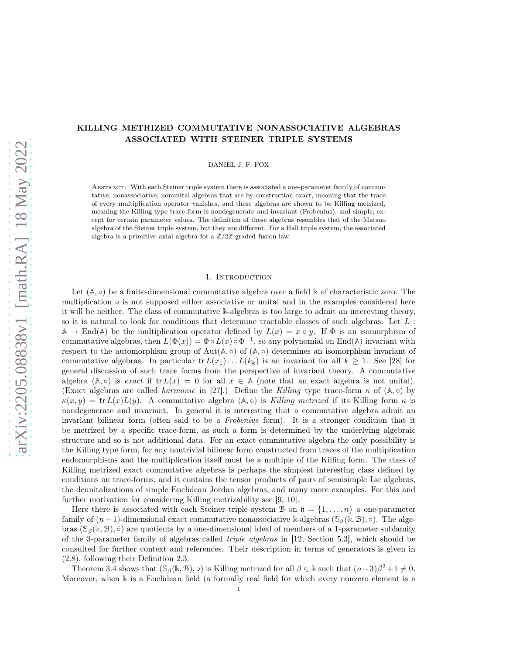# KILLING METRIZED COMMUTATIVE NONASSOCIATIVE ALGEBRAS ASSOCIATED WITH STEINER TRIPLE SYSTEMS

DANIEL J. F. FOX

Abstract. With each Steiner triple system there is associated a one-parameter family of commutative, nonassociative, nonunital algebras that are by construction exact, meaning that the trace of every multiplication operator vanishes, and these algebras are shown to be Killing metrized, meaning the Killing type trace-form is nondegenerate and invariant (Frobenius), and simple, except for certain parameter values. The definition of these algebras resembles that of the Matsuo algebra of the Steiner triple system, but they are different. For a Hall triple system, the associated algebra is a primitive axial algebra for a **Z**/2**Z**-graded fusion law.

### 1. Introduction

Let  $(A, \circ)$  be a finite-dimensional commutative algebra over a field  $\Bbbk$  of characteristic zero. The multiplication ◦ is not supposed either associative or unital and in the examples considered here it will be neither. The class of commutative **k**-algebras is too large to admit an interesting theory, so it is natural to look for conditions that determine tractable classes of such algebras. Let  $L$  :  $A \rightarrow$  End(A) be the multiplication operator defined by  $L(x) = x \circ y$ . If  $\Phi$  is an isomorphism of commutative algebras, then  $L(\Phi(x)) = \Phi \circ L(x) \circ \Phi^{-1}$ , so any polynomial on End(A) invariant with respect to the automorphism group of  $Aut(A, \circ)$  of  $(A, \circ)$  determines an isomorphism invariant of commutative algebras. In particular  $tr L(x_1)... L(k_k)$  is an invariant for all  $k \geq 1$ . See [\[28\]](#page-20-0) for general discussion of such trace forms from the perspective of invariant theory. A commutative algebra  $(A, \circ)$  is exact if  $tr L(x) = 0$  for all  $x \in A$  (note that an exact algebra is not unital). (Exact algebras are called *harmonic* in [\[27\]](#page-20-1).) Define the Killing type trace-form  $\kappa$  of ( $\mathbb{A}, \circ$ ) by  $\kappa(x, y) = \text{tr } L(x) L(y)$ . A commutative algebra (A, o) is Killing metrized if its Killing form  $\kappa$  is nondegenerate and invariant. In general it is interesting that a commutative algebra admit an invariant bilinear form (often said to be a Frobenius form). It is a stronger condition that it be metrized by a specific trace-form, as such a form is determined by the underlying algebraic structure and so is not additional data. For an exact commutative algebra the only possibility is the Killing type form, for any nontrivial bilinear form constructed from traces of the multiplication endomorphisms and the multiplication itself must be a multiple of the Killing form. The class of Killing metrized exact commutative algebras is perhaps the simplest interesting class defined by conditions on trace-forms, and it contains the tensor products of pairs of semisimple Lie algebras, the deunitalizations of simple Euclidean Jordan algebras, and many more examples. For this and further motivation for considering Killing metrizability see [\[9,](#page-19-0) [10\]](#page-19-1).

Here there is associated with each Steiner triple system B on  $\bar{n} = \{1, \ldots, n\}$  a one-parameter family of  $(n-1)$ -dimensional exact commutative nonassociative k-algebras ( $\mathcal{S}_{\beta}(\mathbb{k}, \mathcal{B})$ , ◦). The algebras  $(\mathcal{S}_{\beta}(\mathbb{k}, \mathcal{B}), \hat{\circ})$  are quotients by a one-dimensional ideal of members of a 1-parameter subfamily of the 3-parameter family of algebras called triple algebras in [\[12,](#page-19-2) Section 5.3], which should be consulted for further context and references. Their description in terms of generators is given in [\(2.8\)](#page-4-0), following their Definition [2.3.](#page-3-0)

Theorem [3.4](#page-6-0) shows that  $(\mathbb{S}_{\beta}(\mathbb{k}, \mathbb{B}), \circ)$  is Killing metrized for all  $\beta \in \mathbb{k}$  such that  $(n-3)\beta^2 + 1 \neq 0$ . Moreover, when **k** is a Euclidean field (a formally real field for which every nonzero element is a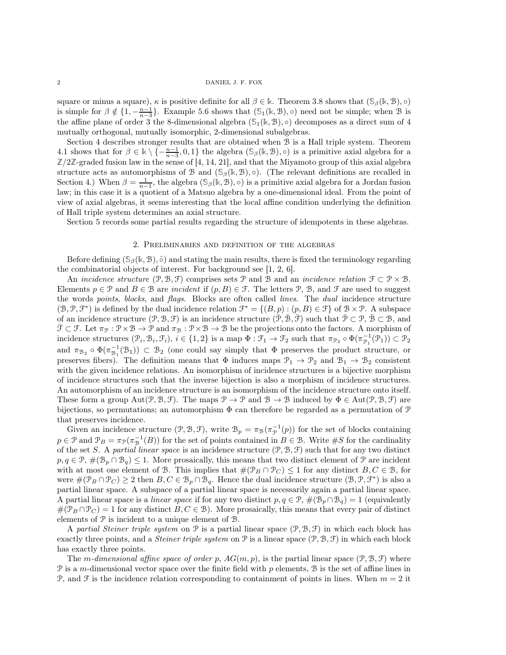square or minus a square),  $\kappa$  is positive definite for all  $\beta \in \mathbb{k}$ . Theorem [3.8](#page-8-0) shows that  $(\mathcal{S}_{\beta}(\mathbb{k}, \mathcal{B}), \circ)$ is simple for  $\beta \notin \{1, -\frac{n-1}{n-3}\}$ . Example [5.6](#page-18-0) shows that  $(\mathbb{S}_1(\mathbb{k}, \mathbb{B}), \circ)$  need not be simple; when B is the affine plane of order 3 the 8-dimensional algebra  $(S_1(k, \mathcal{B}), \circ)$  decomposes as a direct sum of 4 mutually orthogonal, mutually isomorphic, 2-dimensional subalgebras.

Section [4](#page-9-0) describes stronger results that are obtained when B is a Hall triple system. Theorem [4.1](#page-10-0) shows that for  $\beta \in \mathbb{k} \setminus \{-\frac{n-1}{n-3}, 0, 1\}$  the algebra  $(\mathbb{S}_{\beta}(\mathbb{k}, \mathbb{B}), \circ)$  is a primitive axial algebra for a  $\mathbb{Z}/2\mathbb{Z}$ -graded fusion law in the sense of [\[4,](#page-19-3) [14,](#page-19-4) [21\]](#page-20-2), and that the Miyamoto group of this axial algebra structure acts as automorphisms of B and  $(\mathcal{S}_{\beta}(\mathbb{k}, \mathcal{B}), \circ)$ . (The relevant definitions are recalled in Section [4.](#page-9-0)) When  $\beta = \frac{1}{n-1}$ , the algebra  $(\mathcal{S}_{\beta}(\mathbb{k}, \mathcal{B}), \circ)$  is a primitive axial algebra for a Jordan fusion law; in this case it is a quotient of a Matsuo algebra by a one-dimensional ideal. From the point of view of axial algebras, it seems interesting that the local affine condition underlying the definition of Hall triple system determines an axial structure.

Section [5](#page-13-0) records some partial results regarding the structure of idempotents in these algebras.

## 2. Preliminaries and definition of the algebras

Before defining  $(\mathcal{S}_{\beta}(\mathbb{k}, \mathcal{B}), \hat{\circ})$  and stating the main results, there is fixed the terminology regarding the combinatorial objects of interest. For background see [\[1,](#page-19-5) [2,](#page-19-6) [6\]](#page-19-7).

An incidence structure  $(\mathcal{P}, \mathcal{B}, \mathcal{F})$  comprises sets  $\mathcal{P}$  and  $\mathcal{B}$  and an incidence relation  $\mathcal{F} \subset \mathcal{P} \times \mathcal{B}$ . Elements  $p \in \mathcal{P}$  and  $B \in \mathcal{B}$  are incident if  $(p, B) \in \mathcal{F}$ . The letters  $\mathcal{P}$ ,  $\mathcal{B}$ , and  $\mathcal{F}$  are used to suggest the words points, blocks, and flags. Blocks are often called lines. The dual incidence structure  $(\mathcal{B}, \mathcal{P}, \mathcal{F}^*)$  is defined by the dual incidence relation  $\mathcal{F}^* = \{(B, p) : (p, B) \in \mathcal{F}\}\$  of  $\mathcal{B} \times \mathcal{P}$ . A subspace of an incidence structure  $(\mathcal{P}, \mathcal{B}, \mathcal{F})$  is an incidence structure  $(\bar{\mathcal{P}}, \bar{\mathcal{B}}, \bar{\mathcal{F}})$  such that  $\bar{\mathcal{P}} \subset \mathcal{P}, \bar{\mathcal{B}} \subset \mathcal{B}$ , and  $\bar{\mathcal{F}} \subset \mathcal{F}$ . Let  $\pi_{\mathcal{P}} : \mathcal{P} \times \mathcal{B} \to \mathcal{P}$  and  $\pi_{\mathcal{B}} : \mathcal{P} \times \mathcal{B} \to \mathcal{B}$  be the projections onto the factors. A morphism of incidence structures  $(\mathcal{P}_i, \mathcal{B}_i, \mathcal{F}_i), i \in \{1, 2\}$  is a map  $\Phi : \mathcal{F}_1 \to \mathcal{F}_2$  such that  $\pi_{\mathcal{P}_2} \circ \Phi(\pi_{\mathcal{P}_1}^{-1}(\mathcal{P}_1)) \subset \mathcal{P}_2$ and  $\pi_{\mathcal{B}_2} \circ \Phi(\pi_{\mathcal{B}_1}^{-1}(\mathcal{B}_1)) \subset \mathcal{B}_2$  (one could say simply that  $\Phi$  preserves the product structure, or preserves fibers). The definition means that  $\Phi$  induces maps  $\mathcal{P}_1 \to \mathcal{P}_2$  and  $\mathcal{B}_1 \to \mathcal{B}_2$  consistent with the given incidence relations. An isomorphism of incidence structures is a bijective morphism of incidence structures such that the inverse bijection is also a morphism of incidence structures. An automorphism of an incidence structure is an isomorphism of the incidence structure onto itself. These form a group  $Aut(\mathcal{P}, \mathcal{B}, \mathcal{F})$ . The maps  $\mathcal{P} \to \mathcal{P}$  and  $\mathcal{B} \to \mathcal{B}$  induced by  $\Phi \in Aut(\mathcal{P}, \mathcal{B}, \mathcal{F})$  are bijections, so permutations; an automorphism  $\Phi$  can therefore be regarded as a permutation of  $\mathcal P$ that preserves incidence.

Given an incidence structure  $(\mathcal{P}, \mathcal{B}, \mathcal{F})$ , write  $\mathcal{B}_p = \pi_{\mathcal{B}}(\pi_p^{-1}(p))$  for the set of blocks containing  $p \in \mathcal{P}$  and  $\mathcal{P}_B = \pi_{\mathcal{P}}(\pi_B^{-1}(B))$  for the set of points contained in  $B \in \mathcal{B}$ . Write #S for the cardinality of the set S. A partial linear space is an incidence structure  $(\mathcal{P}, \mathcal{B}, \mathcal{F})$  such that for any two distinct  $p, q \in \mathcal{P}, \#(\mathcal{B}_p \cap \mathcal{B}_q) \leq 1$ . More prosaically, this means that two distinct element of  $\mathcal P$  are incident with at most one element of B. This implies that  $#(\mathcal{P}_B \cap \mathcal{P}_C) \leq 1$  for any distinct  $B, C \in \mathcal{B}$ , for were  $\#(\mathcal{P}_B \cap \mathcal{P}_C) \ge 2$  then  $B, C \in \mathcal{B}_p \cap \mathcal{B}_q$ . Hence the dual incidence structure  $(\mathcal{B}, \mathcal{P}, \mathcal{F}^*)$  is also a partial linear space. A subspace of a partial linear space is necessarily again a partial linear space. A partial linear space is a *linear space* if for any two distinct  $p, q \in \mathcal{P}, \#(\mathcal{B}_p \cap \mathcal{B}_q) = 1$  (equivalently  $\#(\mathcal{P}_B \cap \mathcal{P}_C) = 1$  for any distinct  $B, C \in \mathcal{B}$ ). More prosaically, this means that every pair of distinct elements of P is incident to a unique element of B.

A partial Steiner triple system on  $\mathcal P$  is a partial linear space  $(\mathcal P, \mathcal B, \mathcal F)$  in which each block has exactly three points, and a *Steiner triple system* on P is a linear space  $(\mathcal{P}, \mathcal{B}, \mathcal{F})$  in which each block has exactly three points.

The m-dimensional affine space of order p,  $AG(m, p)$ , is the partial linear space  $(\mathcal{P}, \mathcal{B}, \mathcal{F})$  where  $P$  is a m-dimensional vector space over the finite field with  $p$  elements,  $B$  is the set of affine lines in P, and F is the incidence relation corresponding to containment of points in lines. When  $m = 2$  it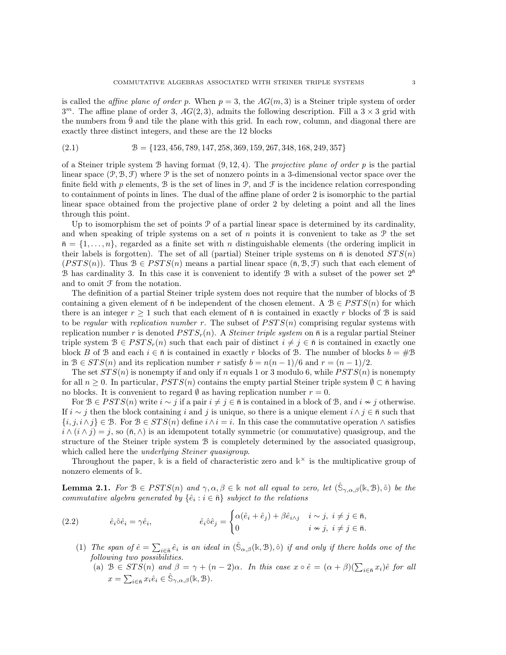is called the *affine plane of order p.* When  $p = 3$ , the  $AG(m, 3)$  is a Steiner triple system of order  $3<sup>m</sup>$ . The affine plane of order 3,  $AG(2,3)$ , admits the following description. Fill a  $3 \times 3$  grid with the numbers from  $\overline{9}$  and tile the plane with this grid. In each row, column, and diagonal there are exactly three distinct integers, and these are the 12 blocks

<span id="page-2-3"></span>
$$
(2.1) \qquad \qquad \mathcal{B} = \{123, 456, 789, 147, 258, 369, 159, 267, 348, 168, 249, 357\}
$$

of a Steiner triple system B having format  $(9, 12, 4)$ . The projective plane of order p is the partial linear space  $(\mathcal{P}, \mathcal{B}, \mathcal{F})$  where  $\mathcal P$  is the set of nonzero points in a 3-dimensional vector space over the finite field with p elements, B is the set of lines in  $\mathcal{P}$ , and  $\mathcal{F}$  is the incidence relation corresponding to containment of points in lines. The dual of the affine plane of order 2 is isomorphic to the partial linear space obtained from the projective plane of order 2 by deleting a point and all the lines through this point.

Up to isomorphism the set of points  $P$  of a partial linear space is determined by its cardinality, and when speaking of triple systems on a set of n points it is convenient to take as  $\mathcal{P}$  the set  $\bar{n} = \{1, \ldots, n\}$ , regarded as a finite set with n distinguishable elements (the ordering implicit in their labels is forgotten). The set of all (partial) Steiner triple systems on  $\bar{n}$  is denoted  $STS(n)$  $(PSTS(n))$ . Thus  $\mathcal{B} \in PSTS(n)$  means a partial linear space  $(\bar{n}, \mathcal{B}, \mathcal{F})$  such that each element of B has cardinality 3. In this case it is convenient to identify B with a subset of the power set  $2^{\overline{n}}$ and to omit F from the notation.

The definition of a partial Steiner triple system does not require that the number of blocks of B containing a given element of  $\bar{n}$  be independent of the chosen element. A  $\mathcal{B} \in PSTS(n)$  for which there is an integer  $r \geq 1$  such that each element of  $\bar{n}$  is contained in exactly r blocks of B is said to be regular with replication number r. The subset of  $PSTS(n)$  comprising regular systems with replication number r is denoted  $PSTS_r(n)$ . A *Steiner triple system* on  $\bar{n}$  is a regular partial Steiner triple system  $B \in PSTS_r(n)$  such that each pair of distinct  $i \neq j \in \overline{n}$  is contained in exactly one block B of B and each  $i \in \bar{\mathfrak{n}}$  is contained in exactly r blocks of B. The number of blocks  $b = #B$ in  $B \in STS(n)$  and its replication number r satisfy  $b = n(n-1)/6$  and  $r = (n-1)/2$ .

The set  $STS(n)$  is nonempty if and only if n equals 1 or 3 modulo 6, while  $PSTS(n)$  is nonempty for all  $n \geq 0$ . In particular,  $PSTS(n)$  contains the empty partial Steiner triple system  $\emptyset \subset \overline{n}$  having no blocks. It is convenient to regard  $\emptyset$  as having replication number  $r = 0$ .

For  $B \in PSTS(n)$  write  $i \sim j$  if a pair  $i \neq j \in \bar{n}$  is contained in a block of B, and  $i \nsim j$  otherwise. If  $i \sim j$  then the block containing i and j is unique, so there is a unique element  $i \wedge j \in \bar{\mathfrak{n}}$  such that  $\{i, j, i \wedge j\} \in \mathcal{B}$ . For  $\mathcal{B} \in STS(n)$  define  $i \wedge i = i$ . In this case the commutative operation  $\wedge$  satisfies  $i \wedge (i \wedge j) = j$ , so  $(\bar{n}, \wedge)$  is an idempotent totally symmetric (or commutative) quasigroup, and the structure of the Steiner triple system B is completely determined by the associated quasigroup, which called here the *underlying Steiner quasigroup*.

Throughout the paper,  $\Bbbk$  is a field of characteristic zero and  $\Bbbk^{\times}$  is the multiplicative group of nonzero elements of **k**.

<span id="page-2-2"></span>**Lemma 2.1.** For  $\mathcal{B} \in PSTS(n)$  and  $\gamma, \alpha, \beta \in \mathbb{k}$  not all equal to zero, let  $(\hat{S}_{\gamma,\alpha,\beta}(\mathbb{k},\mathcal{B}),\hat{\circ})$  be the commutative algebra generated by  $\{\hat{e}_i : i \in \bar{n}\}$  subject to the relations

<span id="page-2-1"></span>(2.2) 
$$
\hat{e}_i \hat{\circ} \hat{e}_i = \gamma \hat{e}_i, \qquad \hat{e}_i \hat{\circ} \hat{e}_j = \begin{cases} \alpha(\hat{e}_i + \hat{e}_j) + \beta \hat{e}_{i \wedge j} & i \sim j, \ i \neq j \in \bar{\mathsf{n}}, \\ 0 & i \nsim j, \ i \neq j \in \bar{\mathsf{n}}. \end{cases}
$$

- <span id="page-2-0"></span>(1) The span of  $\hat{e} = \sum_{i \in \bar{n}} \hat{e}_i$  is an ideal in  $(\hat{S}_{\alpha,\beta}(\mathbb{k}, \mathbb{B}), \hat{\circ})$  if and only if there holds one of the following two possibilities.
	- (a)  $\mathcal{B} \in STS(n)$  and  $\beta = \gamma + (n-2)\alpha$ . In this case  $x \circ \hat{e} = (\alpha + \beta)(\sum_{i \in \bar{n}} x_i)\hat{e}$  for all  $x = \sum_{i \in \bar{\mathfrak{n}}} x_i \hat{e}_i \in \hat{\mathbb{S}}_{\gamma,\alpha,\beta}(\mathbb{k},\mathcal{B}).$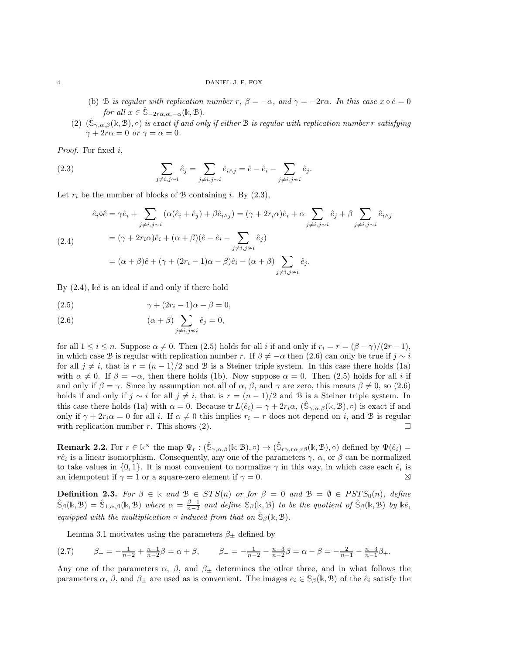#### <span id="page-3-5"></span>4 DANIEL J. F. FOX

- (b) B is regular with replication number r,  $\beta = -\alpha$ , and  $\gamma = -2r\alpha$ . In this case  $x \circ \hat{e} = 0$ for all  $x \in \hat{\mathbb{S}}_{-2r\alpha,\alpha,-\alpha}(\mathbb{k},\mathcal{B}).$
- <span id="page-3-6"></span>(2)  $(\hat{S}_{\gamma,\alpha,\beta}(\mathbb{K},\mathbb{B}),\circ)$  is exact if and only if either  $\mathbb B$  is regular with replication number r satisfying  $\gamma + 2r\alpha = 0$  or  $\gamma = \alpha = 0$ .

Proof. For fixed  $i$ ,

<span id="page-3-1"></span>(2.3) 
$$
\sum_{j \neq i, j \sim i} \hat{e}_j = \sum_{j \neq i, j \sim i} \hat{e}_{i \wedge j} = \hat{e} - \hat{e}_i - \sum_{j \neq i, j \not= i} \hat{e}_j.
$$

Let  $r_i$  be the number of blocks of B containing i. By  $(2.3)$ ,

<span id="page-3-2"></span>
$$
\hat{e}_i \hat{\circ} \hat{e} = \gamma \hat{e}_i + \sum_{j \neq i, j \sim i} (\alpha(\hat{e}_i + \hat{e}_j) + \beta \hat{e}_{i \wedge j}) = (\gamma + 2r_i \alpha) \hat{e}_i + \alpha \sum_{j \neq i, j \sim i} \hat{e}_j + \beta \sum_{j \neq i, j \sim i} \hat{e}_{i \wedge j}
$$
\n
$$
(2.4) \qquad = (\gamma + 2r_i \alpha) \hat{e}_i + (\alpha + \beta) (\hat{e} - \hat{e}_i - \sum_{j \neq i, j \sim i} \hat{e}_j)
$$
\n
$$
= (\alpha + \beta) \hat{e} + (\gamma + (2r_i - 1)\alpha - \beta) \hat{e}_i - (\alpha + \beta) \sum_{j \neq i, j \sim i} \hat{e}_j.
$$

By  $(2.4)$ ,  $\&\hat{e}$  is an ideal if and only if there hold

<span id="page-3-3"></span>
$$
(2.5) \qquad \qquad \gamma + (2r_i - 1)\alpha - \beta = 0,
$$

<span id="page-3-4"></span>(2.6) 
$$
(\alpha + \beta) \sum_{j \neq i, j \sim i} \hat{e}_j = 0,
$$

for all  $1 \leq i \leq n$ . Suppose  $\alpha \neq 0$ . Then [\(2.5\)](#page-3-3) holds for all i if and only if  $r_i = r = (\beta - \gamma)/(2r - 1)$ , in which case B is regular with replication number r. If  $\beta \neq -\alpha$  then [\(2.6\)](#page-3-4) can only be true if  $j \sim i$ for all  $j \neq i$ , that is  $r = (n-1)/2$  and B is a Steiner triple system. In this case there holds [\(1a\)](#page-2-0) with  $\alpha \neq 0$ . If  $\beta = -\alpha$ , then there holds [\(1b\)](#page-3-5). Now suppose  $\alpha = 0$ . Then [\(2.5\)](#page-3-3) holds for all i if and only if  $\beta = \gamma$ . Since by assumption not all of  $\alpha$ ,  $\beta$ , and  $\gamma$  are zero, this means  $\beta \neq 0$ , so [\(2.6\)](#page-3-4) holds if and only if  $j \sim i$  for all  $j \neq i$ , that is  $r = (n-1)/2$  and B is a Steiner triple system. In this case there holds [\(1a\)](#page-2-0) with  $\alpha = 0$ . Because tr  $L(\hat{e}_i) = \gamma + 2r_i\alpha$ ,  $(\hat{S}_{\gamma,\alpha,\beta}(\mathbb{k},\mathcal{B}),\circ)$  is exact if and only if  $\gamma + 2r_i\alpha = 0$  for all i. If  $\alpha \neq 0$  this implies  $r_i = r$  does not depend on i, and B is regular with replication number r. This shows [\(2\)](#page-3-6).

**Remark 2.2.** For  $r \in \mathbb{k}^{\times}$  the map  $\Psi_r : (\hat{S}_{\gamma,\alpha,\beta}(\mathbb{k}, \mathcal{B}), \circ) \to (\hat{S}_{r\gamma,r\alpha,r\beta}(\mathbb{k}, \mathcal{B}), \circ)$  defined by  $\Psi(\hat{e}_i)$  $r\hat{e}_i$  is a linear isomorphism. Consequently, any one of the parameters  $\gamma$ ,  $\alpha$ , or  $\beta$  can be normalized to take values in  $\{0,1\}$ . It is most convenient to normalize  $\gamma$  in this way, in which case each  $\hat{e}_i$  is an idempotent if  $\gamma = 1$  or a square-zero element if  $\gamma = 0$ .

<span id="page-3-0"></span>**Definition 2.3.** For  $\beta \in \mathbb{k}$  and  $\mathcal{B} \in STS(n)$  or for  $\beta = 0$  and  $\mathcal{B} = \emptyset \in PSTS_0(n)$ , define  $\hat{\mathcal{S}}_{\beta}(\mathbb{k}, \mathcal{B}) = \hat{\mathcal{S}}_{1,\alpha,\beta}(\mathbb{k}, \mathcal{B})$  where  $\alpha = \frac{\beta-1}{n-2}$  and define  $\mathcal{S}_{\beta}(\mathbb{k}, \mathcal{B})$  to be the quotient of  $\hat{\mathcal{S}}_{\beta}(\mathbb{k}, \mathcal{B})$  by  $\mathbb{k}\hat{e}$ , equipped with the multiplication  $\circ$  induced from that on  $\hat{\mathbb{S}}_{\beta}(\mathbb{k}, \mathbb{B})$ .

Lemma [3.1](#page-5-0) motivates using the parameters  $\beta_{\pm}$  defined by

<span id="page-3-7"></span>
$$
(2.7) \qquad \beta_{+} = -\frac{1}{n-2} + \frac{n-1}{n-2}\beta = \alpha + \beta, \qquad \beta_{-} = -\frac{1}{n-2} - \frac{n-3}{n-2}\beta = \alpha - \beta = -\frac{2}{n-1} - \frac{n-3}{n-1}\beta_{+}.
$$

Any one of the parameters  $\alpha$ ,  $\beta$ , and  $\beta_{\pm}$  determines the other three, and in what follows the parameters  $\alpha$ ,  $\beta$ , and  $\beta_{\pm}$  are used as is convenient. The images  $e_i \in S_\beta(\mathbb{k}, \mathcal{B})$  of the  $\hat{e}_i$  satisfy the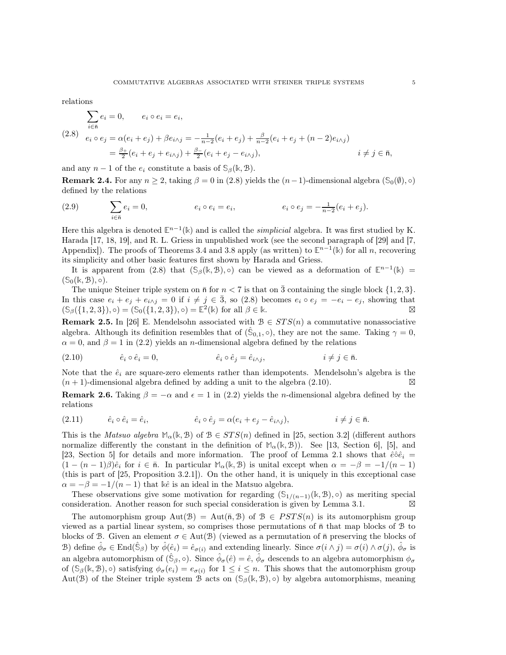relations

<span id="page-4-0"></span>
$$
\sum_{i \in \bar{\mathfrak{n}}} e_i = 0, \qquad e_i \circ e_i = e_i,
$$
\n
$$
(2.8) \quad e_i \circ e_j = \alpha(e_i + e_j) + \beta e_{i \wedge j} = -\frac{1}{n-2}(e_i + e_j) + \frac{\beta}{n-2}(e_i + e_j + (n-2)e_{i \wedge j})
$$
\n
$$
= \frac{\beta_+}{2}(e_i + e_j + e_{i \wedge j}) + \frac{\beta_-}{2}(e_i + e_j - e_{i \wedge j}), \qquad i \neq j \in \bar{\mathfrak{n}},
$$

and any  $n-1$  of the  $e_i$  constitute a basis of  $\mathcal{S}_{\beta}(\mathbb{k}, \mathcal{B})$ .

**Remark 2.4.** For any  $n \geq 2$ , taking  $\beta = 0$  in [\(2.8\)](#page-4-0) yields the  $(n-1)$ -dimensional algebra ( $\mathcal{S}_0(\emptyset)$ ,  $\circ$ ) defined by the relations

(2.9) 
$$
\sum_{i \in \bar{n}} e_i = 0, \qquad e_i \circ e_i = e_i, \qquad e_i \circ e_j = -\frac{1}{n-2}(e_i + e_j).
$$

Here this algebra is denoted  $\mathbb{E}^{n-1}(\mathbb{k})$  and is called the *simplicial* algebra. It was first studied by K. Harada [\[17,](#page-20-3) [18,](#page-20-4) [19\]](#page-20-5), and R. L. Griess in unpublished work (see the second paragraph of [\[29\]](#page-20-6) and [\[7,](#page-19-8) Appendix]). The proofs of Theorems [3.4](#page-6-0) and [3.8](#page-8-0) apply (as written) to  $\mathbb{E}^{n-1}(\mathbb{k})$  for all n, recovering its simplicity and other basic features first shown by Harada and Griess.

It is apparent from [\(2.8\)](#page-4-0) that  $(\mathbb{S}_{\beta}(\mathbb{k}, \mathbb{B}), \circ)$  can be viewed as a deformation of  $\mathbb{E}^{n-1}(\mathbb{k}) =$  $(\mathbb{S}_0(\mathbb{k}, \mathcal{B}), \circ).$ 

The unique Steiner triple system on  $\bar{n}$  for  $n < 7$  is that on 3 containing the single block  $\{1, 2, 3\}$ . In this case  $e_i + e_j + e_{i \wedge j} = 0$  if  $i \neq j \in \overline{3}$ , so [\(2.8\)](#page-4-0) becomes  $e_i \circ e_j = -e_i - e_j$ , showing that  $(\mathbb{S}_{\beta}(\{1,2,3\}), \circ) = (\mathbb{S}_{0}(\{1,2,3\}), \circ) = \mathbb{E}^{2}(\mathbb{k})$  for all  $\beta \in \mathbb{k}$ .

**Remark 2.5.** In [\[26\]](#page-20-7) E. Mendelsohn associated with  $B \in STS(n)$  a commutative nonassociative algebra. Although its definition resembles that of  $(\hat{\mathbb{S}}_{0,1}, \circ)$ , they are not the same. Taking  $\gamma = 0$ ,  $\alpha = 0$ , and  $\beta = 1$  in [\(2.2\)](#page-2-1) yields an *n*-dimensional algebra defined by the relations

<span id="page-4-1"></span>(2.10) 
$$
\hat{e}_i \circ \hat{e}_i = 0, \qquad \hat{e}_i \circ \hat{e}_j = \hat{e}_{i \wedge j}, \qquad i \neq j \in \bar{n}.
$$

Note that the  $\hat{e}_i$  are square-zero elements rather than idempotents. Mendelsohn's algebra is the  $(n + 1)$ -dimensional algebra defined by adding a unit to the algebra [\(2.10\)](#page-4-1). ⊠

**Remark 2.6.** Taking  $\beta = -\alpha$  and  $\epsilon = 1$  in [\(2.2\)](#page-2-1) yields the *n*-dimensional algebra defined by the relations

(2.11) 
$$
\hat{e}_i \circ \hat{e}_i = \hat{e}_i, \qquad \hat{e}_i \circ \hat{e}_j = \alpha (e_i + e_j - \hat{e}_{i \wedge j}), \qquad i \neq j \in \bar{n}.
$$

This is the *Matsuo algebra*  $\mathbb{M}_{\alpha}(\mathbb{k}, \mathcal{B})$  of  $\mathcal{B} \in STS(n)$  defined in [\[25,](#page-20-8) section 3.2] (different authors normalize differently the constant in the definition of  $\mathbb{M}_{\alpha}(\mathbb{k}, \mathcal{B})$ ). See [\[13,](#page-19-9) Section 6], [\[5\]](#page-19-10), and [\[23,](#page-20-9) Section 5] for details and more information. The proof of Lemma [2.1](#page-2-2) shows that  $\hat{e} \hat{\circ} \hat{e}_i$  =  $(1 - (n - 1)\beta)\hat{e}_i$  for  $i \in \bar{\mathfrak{n}}$ . In particular  $\mathbb{M}_{\alpha}(\mathbb{k}, \mathcal{B})$  is unital except when  $\alpha = -\beta = -1/(n - 1)$ (this is part of [\[25,](#page-20-8) Proposition 3.2.1]). On the other hand, it is uniquely in this exceptional case  $\alpha = -\beta = -1/(n-1)$  that kê is an ideal in the Matsuo algebra.

These observations give some motivation for regarding  $(\mathbb{S}_{1/(n-1)}(\mathbb{k}, \mathcal{B}), \circ)$  as meriting special consideration. Another reason for such special consideration is given by Lemma [3.1.](#page-5-0) ⊠

The automorphism group  $Aut(\mathcal{B}) = Aut(\bar{n}, \mathcal{B})$  of  $\mathcal{B} \in PSTS(n)$  is its automorphism group viewed as a partial linear system, so comprises those permutations of  $\bar{n}$  that map blocks of  $\bar{B}$  to blocks of B. Given an element  $\sigma \in Aut(B)$  (viewed as a permutation of  $\bar{n}$  preserving the blocks of B) define  $\hat{\phi}_{\sigma} \in \text{End}(\hat{\mathbb{S}}_{\beta})$  by  $\hat{\phi}(\hat{e}_i) = \hat{e}_{\sigma(i)}$  and extending linearly. Since  $\sigma(i \wedge j) = \sigma(i) \wedge \sigma(j)$ ,  $\hat{\phi}_{\sigma}$  is an algebra automorphism of  $(\hat{\mathbb{S}}_{\beta}, \circ)$ . Since  $\hat{\phi}_{\sigma}(\hat{e}) = \hat{e}, \hat{\phi}_{\sigma}$  descends to an algebra automorphism  $\phi_{\sigma}$ of  $(\mathcal{S}_{\beta}(\mathbb{k}, \mathcal{B}), \circ)$  satisfying  $\phi_{\sigma}(e_i) = e_{\sigma(i)}$  for  $1 \leq i \leq n$ . This shows that the automorphism group Aut(B) of the Steiner triple system B acts on  $(S_\beta(k, B), \circ)$  by algebra automorphisms, meaning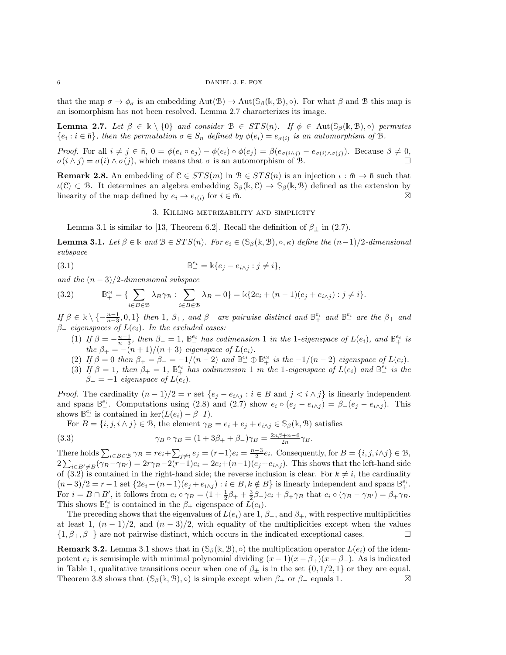that the map  $\sigma \to \phi_{\sigma}$  is an embedding  $\text{Aut}(\mathcal{B}) \to \text{Aut}(\mathcal{S}_{\beta}(\mathbb{k}, \mathcal{B}), \circ)$ . For what  $\beta$  and  $\mathcal B$  this map is an isomorphism has not been resolved. Lemma [2.7](#page-5-1) characterizes its image.

<span id="page-5-1"></span>**Lemma 2.7.** Let  $\beta \in \mathbb{R} \setminus \{0\}$  and consider  $\mathcal{B} \in STS(n)$ . If  $\phi \in \text{Aut}(\mathcal{S}_{\beta}(\mathbb{k}, \mathcal{B}), \circ)$  permutes  ${e_i : i \in \bar{\mathsf{n}}},$  then the permutation  $\sigma \in S_n$  defined by  $\phi(e_i) = e_{\sigma(i)}$  is an automorphism of B.

Proof. For all  $i \neq j \in \bar{n}$ ,  $0 = \phi(e_i \circ e_j) - \phi(e_i) \circ \phi(e_j) = \beta(e_{\sigma(i \wedge j)} - e_{\sigma(i) \wedge \sigma(j)})$ . Because  $\beta \neq 0$ ,  $\sigma(i \wedge j) = \sigma(i) \wedge \sigma(j)$ , which means that  $\sigma$  is an automorphism of B.

**Remark 2.8.** An embedding of  $C \in STS(m)$  in  $B \in STS(n)$  is an injection  $\iota : \bar{m} \to \bar{n}$  such that  $\iota(\mathcal{C}) \subset \mathcal{B}$ . It determines an algebra embedding  $\mathcal{S}_{\beta}(\mathbb{k}, \mathcal{C}) \to \mathcal{S}_{\beta}(\mathbb{k}, \mathcal{B})$  defined as the extension by linearity of the map defined by  $e_i \to e_{\iota(i)}$  for  $i \in \overline{m}$ .

## 3. Killing metrizability and simplicity

Lemma [3.1](#page-5-0) is similar to [\[13,](#page-19-9) Theorem 6.2]. Recall the definition of  $\beta_{\pm}$  in [\(2.7\)](#page-3-7).

<span id="page-5-0"></span>**Lemma 3.1.** Let  $\beta \in \mathbb{k}$  and  $\beta \in STS(n)$ . For  $e_i \in (\mathcal{S}_{\beta}(\mathbb{k}, \mathcal{B}), \circ, \kappa)$  define the  $(n-1)/2$ -dimensional subspace

<span id="page-5-3"></span>(3.1) 
$$
\mathbb{B}^{e_i}_{-} = \mathbb{k}\{e_j - e_{i \wedge j} : j \neq i\},\
$$

and the  $(n-3)/2$ -dimensional subspace

<span id="page-5-2"></span>(3.2) 
$$
\mathbb{B}_{+}^{e_{i}} = \{ \sum_{i \in B \in \mathcal{B}} \lambda_{B} \gamma_{B} : \sum_{i \in B \in \mathcal{B}} \lambda_{B} = 0 \} = \Bbbk \{ 2e_{i} + (n-1)(e_{j} + e_{i \wedge j}) : j \neq i \}.
$$

 $\text{If } \beta \in \mathbb{k} \setminus \{-\frac{n-1}{n-3}, 0, 1\} \text{ then } 1, \beta_+, \text{ and } \beta_- \text{ are pairwise distinct and } \mathbb{B}^{e_i}_+ \text{ and } \mathbb{B}^{e_i}_- \text{ are the } \beta_+ \text{ and } \beta_+ \text{ are the } \beta_+ \text{ and } \beta_- \text{ are the } \beta_+ \text{ are the } \beta_+ \text{ are the } \beta_+ \text{ are the } \beta_+ \text{ are the } \beta_+ \text{ are the } \beta_+ \text{ are the } \beta_+ \text{ are the } \beta_+ \text{ are the } \beta_+ \text$  $\beta$ <sub>-</sub> eigenspaces of  $L(e_i)$ . In the excluded cases:

- (1) If  $\beta = -\frac{n-1}{n-3}$ , then  $\beta_- = 1$ ,  $\mathbb{B}^{e_i}_-$  has codimension 1 in the 1-eigenspace of  $L(e_i)$ , and  $\mathbb{B}^{e_i}_+$  is the  $\beta_+ = -(n+1)/(n+3)$  eigenspace of  $L(e_i)$ .
- (2) If  $\beta = 0$  then  $\beta_+ = \beta_- = -1/(n-2)$  and  $\mathbb{B}^{e_i} \oplus \mathbb{B}^{e_i}$  is the  $-1/(n-2)$  eigenspace of  $L(e_i)$ .
- (3) If  $\beta = 1$ , then  $\beta_+ = 1$ ,  $\mathbb{B}^{e_i}_+$  has codimension 1 in the 1-eigenspace of  $L(e_i)$  and  $\mathbb{B}^{e_i}_-$  is the  $\beta_- = -1$  eigenspace of  $L(e_i)$ .

*Proof.* The cardinality  $(n-1)/2 = r$  set  $\{e_j - e_{i \wedge j} : i \in B \text{ and } j \leq i \wedge j\}$  is linearly independent and spans  $\mathbb{B}^{e_i}$ . Computations using [\(2.8\)](#page-4-0) and [\(2.7\)](#page-3-7) show  $e_i \circ (e_j - e_{i \wedge j}) = \beta_-(e_j - e_{i \wedge j})$ . This shows  $\mathbb{B}^{e_i}_-$  is contained in ker $(L(e_i) - \beta_1)$ .

For  $B = \{i, j, i \wedge j\} \in \mathcal{B}$ , the element  $\gamma_B = e_i + e_j + e_{i \wedge j} \in \mathcal{S}_{\beta}(\mathbb{k}, \mathcal{B})$  satisfies

<span id="page-5-4"></span>(3.3) 
$$
\gamma_B \circ \gamma_B = (1 + 3\beta_+ + \beta_-)\gamma_B = \frac{2n\beta + n - 6}{2n}\gamma_B.
$$

There holds  $\sum_{i \in B \in \mathcal{B}} \gamma_B = re_i + \sum_{j \neq i} e_j = (r-1)e_i = \frac{n-3}{2}e_i$ . Consequently, for  $B = \{i, j, i \wedge j\} \in \mathcal{B}$ ,  $2\sum_{i\in B'\neq B}(\gamma_B-\gamma_{B'})=2r\gamma_B-2(r-1)e_i=2e_i+(n-1)(e_j+e_{i\wedge j})$ . This shows that the left-hand side of [\(3.2\)](#page-5-2) is contained in the right-hand side; the reverse inclusion is clear. For  $k \neq i$ , the cardinality  $(n-3)/2 = r-1$  set  $\{2e_i + (n-1)(e_j + e_{i \wedge j}) : i \in B, k \notin B\}$  is linearly independent and spans  $\mathbb{B}^{e_i}_+$ . For  $i = B \cap B'$ , it follows from  $e_i \circ \gamma_B = (1 + \frac{1}{2}\beta_+ + \frac{3}{2}\beta_-)e_i + \beta_+\gamma_B$  that  $e_i \circ (\gamma_B - \gamma_{B'}) = \beta_+\gamma_B$ . This shows  $\mathbb{B}^{e_i}_+$  is contained in the  $\beta_+$  eigenspace of  $\tilde{L}(e_i)$ .

The preceding shows that the eigenvalues of  $L(e_i)$  are 1,  $\beta$ <sub>-</sub>, and  $\beta$ <sub>+</sub>, with respective multiplicities at least 1,  $(n-1)/2$ , and  $(n-3)/2$ , with equality of the multiplicities except when the values  $\{1, \beta_+, \beta_-\}$  are not pairwise distinct, which occurs in the indicated exceptional cases.

**Remark 3.2.** Lemma [3.1](#page-5-0) shows that in  $(\mathcal{S}_{\beta}(\mathbb{k}, \mathcal{B}), \circ)$  the multiplication operator  $L(e_i)$  of the idempotent  $e_i$  is semisimple with minimal polynomial dividing  $(x-1)(x-\beta_+)(x-\beta_-)$ . As is indicated in Table [1,](#page-6-1) qualitative transitions occur when one of  $\beta_{\pm}$  is in the set  $\{0, 1/2, 1\}$  or they are equal. Theorem [3.8](#page-8-0) shows that  $(\mathcal{S}_{\beta}(\mathbb{k}, \mathcal{B}), \circ)$  is simple except when  $\beta_+$  or  $\beta_-$  equals 1. ⊠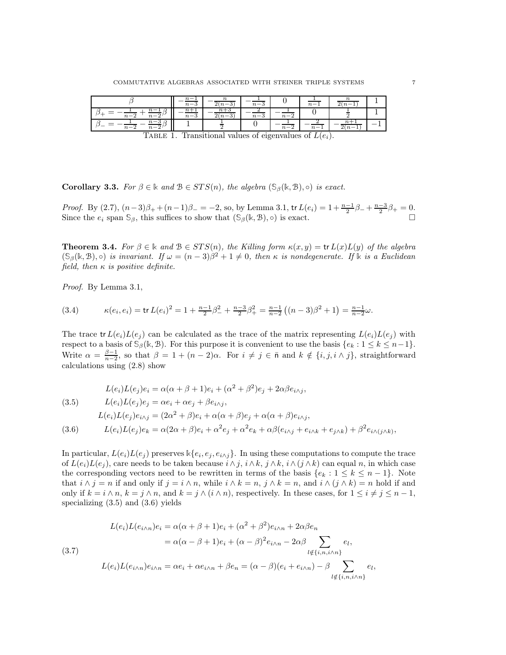|             | $n -$ |                          |        |         | $\mathfrak{m} =$ |  |
|-------------|-------|--------------------------|--------|---------|------------------|--|
| $n-$<br>n — |       | $\overline{\phantom{a}}$ | $n-$ . | n —     |                  |  |
| n —         |       |                          |        | $n - 2$ |                  |  |

<span id="page-6-1"></span>TABLE 1. Transitional values of eigenvalues of  $L(e_i)$ .

**Corollary 3.3.** For  $\beta \in \mathbb{k}$  and  $\mathcal{B} \in STS(n)$ , the algebra  $(\mathcal{S}_{\beta}(\mathbb{k}, \mathcal{B}), \circ)$  is exact.

Proof. By [\(2.7\)](#page-3-7),  $(n-3)\beta_+ + (n-1)\beta_- = -2$ , so, by Lemma [3.1,](#page-5-0) tr  $L(e_i) = 1 + \frac{n-1}{2}\beta_- + \frac{n-3}{2}\beta_+ = 0$ . Since the  $e_i$  span  $\mathbb{S}_{\beta}$ , this suffices to show that  $(\mathbb{S}_{\beta}(\mathbb{k}, \mathcal{B}), \circ)$  is exact.

<span id="page-6-0"></span>**Theorem 3.4.** For  $\beta \in \mathbb{k}$  and  $\beta \in STS(n)$ , the Killing form  $\kappa(x, y) = \text{tr } L(x)L(y)$  of the algebra  $(\mathbb{S}_{\beta}(\mathbb{k}, \mathbb{B}), \circ)$  is invariant. If  $\omega = (n-3)\beta^2 + 1 \neq 0$ , then  $\kappa$  is nondegenerate. If  $\mathbb{k}$  is a Euclidean field, then  $\kappa$  is positive definite.

Proof. By Lemma [3.1,](#page-5-0)

<span id="page-6-5"></span>
$$
(3.4) \qquad \kappa(e_i,e_i) = \text{tr}\,L(e_i)^2 = 1 + \frac{n-1}{2}\beta_-^2 + \frac{n-3}{2}\beta_+^2 = \frac{n-1}{n-2}\left((n-3)\beta^2 + 1\right) = \frac{n-1}{n-2}\omega.
$$

The trace tr  $L(e_i)L(e_j)$  can be calculated as the trace of the matrix representing  $L(e_i)L(e_j)$  with respect to a basis of  $\mathcal{S}_{\beta}(\mathbb{k}, \mathcal{B})$ . For this purpose it is convenient to use the basis  $\{e_k : 1 \leq k \leq n-1\}$ . Write  $\alpha = \frac{\beta-1}{n-2}$ , so that  $\beta = 1 + (n-2)\alpha$ . For  $i \neq j \in \bar{\mathfrak{n}}$  and  $k \notin \{i, j, i \wedge j\}$ , straightforward calculations using [\(2.8\)](#page-4-0) show

<span id="page-6-2"></span>(3.5)  
\n
$$
L(e_i)L(e_j)e_i = \alpha(\alpha + \beta + 1)e_i + (\alpha^2 + \beta^2)e_j + 2\alpha\beta e_{i\lambda j},
$$
\n
$$
L(e_i)L(e_j)e_j = \alpha e_i + \alpha e_j + \beta e_{i\lambda j},
$$
\n
$$
L(e_i)L(e_j)e_{i\lambda j} = (2\alpha^2 + \beta)e_i + \alpha(\alpha + \beta)e_j + \alpha(\alpha + \beta)e_{i\lambda j},
$$
\n(3.6)  
\n
$$
L(e_i)L(e_j)e_k = \alpha(2\alpha + \beta)e_i + \alpha^2 e_j + \alpha^2 e_k + \alpha\beta(e_{i\lambda j} + e_{i\lambda k} + e_{j\lambda k}) + \beta^2 e_{i\lambda(j\lambda k)},
$$

<span id="page-6-3"></span>In particular,  $L(e_i)L(e_j)$  preserves  $\Bbbk\{e_i,e_j,e_{i\wedge j}\}$ . In using these computations to compute the trace of  $L(e_i)L(e_j)$ , care needs to be taken because  $i \wedge j$ ,  $i \wedge k$ ,  $j \wedge k$ ,  $i \wedge (j \wedge k)$  can equal n, in which case the corresponding vectors need to be rewritten in terms of the basis  $\{e_k : 1 \le k \le n-1\}$ . Note that  $i \wedge j = n$  if and only if  $j = i \wedge n$ , while  $i \wedge k = n$ ,  $j \wedge k = n$ , and  $i \wedge (j \wedge k) = n$  hold if and only if  $k = i \wedge n$ ,  $k = j \wedge n$ , and  $k = j \wedge (i \wedge n)$ , respectively. In these cases, for  $1 \leq i \neq j \leq n-1$ , specializing [\(3.5\)](#page-6-2) and [\(3.6\)](#page-6-3) yields

<span id="page-6-4"></span>(3.7)  
\n
$$
L(e_i)L(e_{i\wedge n})e_i = \alpha(\alpha + \beta + 1)e_i + (\alpha^2 + \beta^2)e_{i\wedge n} + 2\alpha\beta e_n
$$
\n
$$
= \alpha(\alpha - \beta + 1)e_i + (\alpha - \beta)^2 e_{i\wedge n} - 2\alpha\beta \sum_{l \notin \{i, n, i\wedge n\}} e_l,
$$
\n(3.7)  
\n
$$
L(e_i)L(e_{i\wedge n})e_{i\wedge n} = \alpha e_i + \alpha e_{i\wedge n} + \beta e_n = (\alpha - \beta)(e_i + e_{i\wedge n}) - \beta \sum_{l \notin \{i, n, i\wedge n\}} e_l,
$$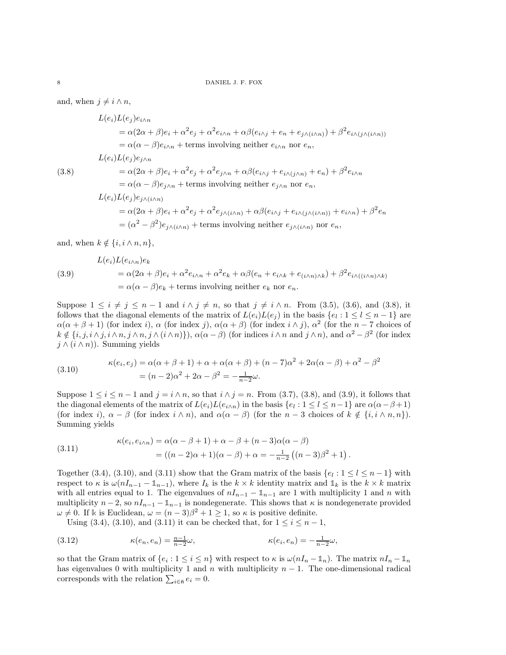and, when  $j \neq i \wedge n$ ,

<span id="page-7-0"></span>
$$
L(e_i)L(e_j)e_{i\wedge n}
$$
  
\n
$$
= \alpha(2\alpha + \beta)e_i + \alpha^2 e_j + \alpha^2 e_{i\wedge n} + \alpha\beta(e_{i\wedge j} + e_n + e_{j\wedge (i\wedge n)}) + \beta^2 e_{i\wedge (j\wedge (i\wedge n))}
$$
  
\n
$$
= \alpha(\alpha - \beta)e_{i\wedge n} + \text{terms involving neither } e_{i\wedge n} \text{ nor } e_n,
$$
  
\n
$$
L(e_i)L(e_j)e_{j\wedge n}
$$
  
\n(3.8)  
\n
$$
= \alpha(2\alpha + \beta)e_i + \alpha^2 e_j + \alpha^2 e_{j\wedge n} + \alpha\beta(e_{i\wedge j} + e_{i\wedge (j\wedge n)} + e_n) + \beta^2 e_{i\wedge n}
$$
  
\n
$$
= \alpha(\alpha - \beta)e_{j\wedge n} + \text{terms involving neither } e_{j\wedge n} \text{ nor } e_n,
$$
  
\n
$$
L(e_i)L(e_j)e_{j\wedge (i\wedge n)}
$$
  
\n
$$
= \alpha(2\alpha + \beta)e_i + \alpha^2 e_j + \alpha^2 e_{j\wedge (i\wedge n)} + \alpha\beta(e_{i\wedge j} + e_{i\wedge (j\wedge (i\wedge n))} + e_{i\wedge n}) + \beta^2 e_n
$$
  
\n
$$
= (\alpha^2 - \beta^2)e_{j\wedge (i\wedge n)} + \text{terms involving neither } e_{j\wedge (i\wedge n)} \text{ nor } e_n,
$$

and, when  $k \notin \{i, i \wedge n, n\},\$ 

<span id="page-7-1"></span>(3.9)  
\n
$$
L(e_i)L(e_{i\wedge n})e_k
$$
\n
$$
= \alpha(2\alpha + \beta)e_i + \alpha^2 e_{i\wedge n} + \alpha^2 e_k + \alpha\beta(e_n + e_{i\wedge k} + e_{(i\wedge n)\wedge k}) + \beta^2 e_{i\wedge((i\wedge n)\wedge k)}
$$
\n
$$
= \alpha(\alpha - \beta)e_k + \text{terms involving neither } e_k \text{ nor } e_n.
$$

Suppose  $1 \leq i \neq j \leq n-1$  and  $i \wedge j \neq n$ , so that  $j \neq i \wedge n$ . From [\(3.5\)](#page-6-2), [\(3.6\)](#page-6-3), and [\(3.8\)](#page-7-0), it follows that the diagonal elements of the matrix of  $L(e_i)L(e_j)$  in the basis  $\{e_i: 1 \leq l \leq n-1\}$  are  $\alpha(\alpha+\beta+1)$  (for index i),  $\alpha$  (for index j),  $\alpha(\alpha+\beta)$  (for index  $i \wedge j$ ),  $\alpha^2$  (for the  $n-7$  choices of  $k \notin \{i, j, i \wedge j, i \wedge n, j \wedge n, j \wedge (i \wedge n)\}\)$ ,  $\alpha(\alpha - \beta)$  (for indices  $i \wedge n$  and  $j \wedge n$ ), and  $\alpha^2 - \beta^2$  (for index  $j \wedge (i \wedge n)$ . Summing yields

<span id="page-7-2"></span>(3.10) 
$$
\kappa(e_i, e_j) = \alpha(\alpha + \beta + 1) + \alpha + \alpha(\alpha + \beta) + (n - 7)\alpha^2 + 2\alpha(\alpha - \beta) + \alpha^2 - \beta^2 = (n - 2)\alpha^2 + 2\alpha - \beta^2 = -\frac{1}{n - 2}\omega.
$$

Suppose  $1 \le i \le n-1$  and  $j = i \wedge n$ , so that  $i \wedge j = n$ . From [\(3.7\)](#page-6-4), [\(3.8\)](#page-7-0), and [\(3.9\)](#page-7-1), it follows that the diagonal elements of the matrix of  $L(e_i)L(e_{i\wedge n})$  in the basis  $\{e_i: 1 \leq l \leq n-1\}$  are  $\alpha(\alpha-\beta+1)$ (for index i),  $\alpha - \beta$  (for index  $i \wedge n$ ), and  $\alpha(\alpha - \beta)$  (for the  $n-3$  choices of  $k \notin \{i, i \wedge n, n\}$ ). Summing yields

<span id="page-7-3"></span>(3.11) 
$$
\kappa(e_i, e_{i \wedge n}) = \alpha(\alpha - \beta + 1) + \alpha - \beta + (n - 3)\alpha(\alpha - \beta) = ((n - 2)\alpha + 1)(\alpha - \beta) + \alpha = -\frac{1}{n - 2}((n - 3)\beta^2 + 1).
$$

Together [\(3.4\)](#page-6-5), [\(3.10\)](#page-7-2), and [\(3.11\)](#page-7-3) show that the Gram matrix of the basis  $\{e_l: 1 \leq l \leq n-1\}$  with respect to  $\kappa$  is  $\omega(nI_{n-1}-\mathbb{1}_{n-1})$ , where  $I_k$  is the  $k \times k$  identity matrix and  $\mathbb{1}_k$  is the  $k \times k$  matrix with all entries equal to 1. The eigenvalues of  $nI_{n-1} - \mathbb{1}_{n-1}$  are 1 with multiplicity 1 and n with multiplicity  $n-2$ , so  $nI_{n-1}-\mathbb{1}_{n-1}$  is nondegenerate. This shows that  $\kappa$  is nondegenerate provided  $\omega \neq 0$ . If k is Euclidean,  $\omega = (n-3)\beta^2 + 1 \geq 1$ , so  $\kappa$  is positive definite.

Using [\(3.4\)](#page-6-5), [\(3.10\)](#page-7-2), and [\(3.11\)](#page-7-3) it can be checked that, for  $1 \le i \le n - 1$ ,

(3.12) 
$$
\kappa(e_n, e_n) = \frac{n-1}{n-2}\omega, \qquad \kappa(e_i, e_n) = -\frac{1}{n-2}\omega,
$$

so that the Gram matrix of  $\{e_i : 1 \leq i \leq n\}$  with respect to  $\kappa$  is  $\omega(nI_n - \mathbb{1}_n)$ . The matrix  $nI_n - \mathbb{1}_n$ has eigenvalues 0 with multiplicity 1 and n with multiplicity  $n - 1$ . The one-dimensional radical corresponds with the relation  $\sum_{i \in \bar{\mathfrak{n}}} e_i = 0$ .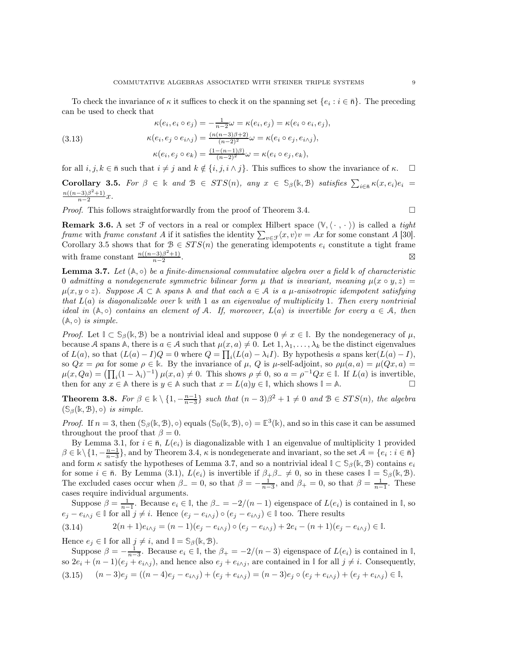To check the invariance of  $\kappa$  it suffices to check it on the spanning set  $\{e_i : i \in \bar{\mathsf{n}}\}$ . The preceding can be used to check that

(3.13) 
$$
\kappa(e_i, e_i \circ e_j) = -\frac{1}{n-2}\omega = \kappa(e_i, e_j) = \kappa(e_i \circ e_i, e_j),
$$

$$
\kappa(e_i, e_j \circ e_{i \wedge j}) = \frac{(n(n-3)\beta + 2)}{(n-2)^2}\omega = \kappa(e_i \circ e_j, e_{i \wedge j}),
$$

$$
\kappa(e_i, e_j \circ e_k) = \frac{(1 - (n-1)\beta)}{(n-2)^2}\omega = \kappa(e_i \circ e_j, e_k),
$$

<span id="page-8-1"></span>for all  $i, j, k \in \bar{\mathfrak{n}}$  such that  $i \neq j$  and  $k \notin \{i, j, i \wedge j\}$ . This suffices to show the invariance of  $\kappa$ . Corollary 3.5. For  $\beta \in \mathbb{k}$  and  $\beta \in STS(n)$ , any  $x \in \mathbb{S}_{\beta}(\mathbb{k}, \mathbb{B})$  satisfies  $\sum_{i \in \bar{n}} \kappa(x, e_i)e_i =$  $n((n-3)\beta^2+1)$  $\frac{-3(p+1)}{n-2}x$ .

*Proof.* This follows straightforwardly from the proof of Theorem [3.4.](#page-6-0)  $\Box$ 

**Remark 3.6.** A set  $\mathcal F$  of vectors in a real or complex Hilbert space  $(\mathbb V, \langle \cdot, \cdot \rangle)$  is called a tight frame with frame constant A if it satisfies the identity  $\sum_{v \in \mathcal{F}} \langle x, v \rangle v = Ax$  for some constant A [\[30\]](#page-20-10). Corollary [3.5](#page-8-1) shows that for  $\mathcal{B} \in STS(n)$  the generating idempotents  $e_i$  constitute a tight frame with frame constant  $\frac{n((n-3)\beta^2+1)}{n-2}$  $n-2$ .<br>∴ ⊠

<span id="page-8-2"></span>**Lemma 3.7.** Let  $(A, \circ)$  be a finite-dimensional commutative algebra over a field  $\mathbb{k}$  of characteristic 0 admitting a nondegenerate symmetric bilinear form  $\mu$  that is invariant, meaning  $\mu(x \circ y, z) =$  $\mu(x, y \circ z)$ . Suppose  $A \subset \mathbb{A}$  spans  $\mathbb{A}$  and that each  $a \in A$  is a  $\mu$ -anisotropic idempotent satisfying that L(a) is diagonalizable over **k** with 1 as an eigenvalue of multiplicity 1. Then every nontrivial ideal in  $(A, \circ)$  contains an element of A. If, moreover,  $L(a)$  is invertible for every  $a \in A$ , then  $(A, \circ)$  is simple.

*Proof.* Let  $\mathbb{I} \subset \mathbb{S}_{\beta}(\mathbb{k}, \mathcal{B})$  be a nontrivial ideal and suppose  $0 \neq x \in \mathbb{I}$ . By the nondegeneracy of  $\mu$ , because A spans A, there is  $a \in A$  such that  $\mu(x, a) \neq 0$ . Let  $1, \lambda_1, \ldots, \lambda_k$  be the distinct eigenvalues of  $L(a)$ , so that  $(L(a) - I)Q = 0$  where  $Q = \prod_i (L(a) - \lambda_i I)$ . By hypothesis a spans ker $(L(a) - I)$ , so  $Qx = \rho a$  for some  $\rho \in \mathbb{k}$ . By the invariance of  $\mu$ , Q is  $\mu$ -self-adjoint, so  $\rho \mu(a, a) = \mu(Qx, a)$  $\mu(x, Qa) = (\prod_i (1 - \lambda_i)^{-1}) \mu(x, a) \neq 0$ . This shows  $\rho \neq 0$ , so  $a = \rho^{-1}Qx \in \mathbb{I}$ . If  $L(a)$  is invertible, then for any  $x \in \mathbb{A}$  there is  $y \in \mathbb{A}$  such that  $x = L(a)y \in \mathbb{I}$ , which shows  $\mathbb{I} = \mathbb{A}$ .

<span id="page-8-0"></span>**Theorem 3.8.** For  $\beta \in \mathbb{k} \setminus \{1, -\frac{n-1}{n-3}\}$  such that  $(n-3)\beta^2 + 1 \neq 0$  and  $\beta \in STS(n)$ , the algebra  $(\mathbb{S}_{\beta}(\mathbb{k}, \mathcal{B}), \circ)$  is simple.

*Proof.* If  $n = 3$ , then  $(\mathbb{S}_{\beta}(\mathbb{k}, \mathbb{B}), \circ)$  equals  $(\mathbb{S}_{0}(\mathbb{k}, \mathbb{B}), \circ) = \mathbb{E}^{3}(\mathbb{k})$ , and so in this case it can be assumed throughout the proof that  $\beta = 0$ .

By Lemma [3.1,](#page-5-0) for  $i \in \bar{\mathsf{n}}, L(e_i)$  is diagonalizable with 1 an eigenvalue of multiplicity 1 provided  $\beta \in \mathbb{k} \setminus \{1, -\frac{n-1}{n-3}\}$ , and by Theorem [3.4,](#page-6-0)  $\kappa$  is nondegenerate and invariant, so the set  $\mathcal{A} = \{e_i : i \in \bar{n}\}$ and form  $\kappa$  satisfy the hypotheses of Lemma [3.7,](#page-8-2) and so a nontrivial ideal  $\mathbb{I} \subset \mathbb{S}_{\beta}(\mathbb{k}, \mathcal{B})$  contains  $e_i$ for some  $i \in \bar{\mathfrak{n}}$ . By Lemma [\(3.1\)](#page-5-0),  $L(e_i)$  is invertible if  $\beta_+\beta_- \neq 0$ , so in these cases  $\mathbb{I} = \mathbb{S}_{\beta}(\mathbb{k}, \mathcal{B})$ . The excluded cases occur when  $\beta_- = 0$ , so that  $\beta = -\frac{1}{n-3}$ , and  $\beta_+ = 0$ , so that  $\beta = \frac{1}{n-1}$ . These cases require individual arguments.

Suppose  $\beta = \frac{1}{n-1}$ . Because  $e_i \in \mathbb{I}$ , the  $\beta_- = -2/(n-1)$  eigenspace of  $L(e_i)$  is contained in  $\mathbb{I}$ , so  $e_j - e_{i \wedge j} \in \mathbb{I}$  for all  $j \neq i$ . Hence  $(e_j - e_{i \wedge j}) \circ (e_j - e_{i \wedge j}) \in \mathbb{I}$  too. There results

$$
(3.14) \qquad \qquad 2(n+1)e_{i \wedge j} = (n-1)(e_j - e_{i \wedge j}) \circ (e_j - e_{i \wedge j}) + 2e_i - (n+1)(e_j - e_{i \wedge j}) \in \mathbb{I}.
$$

Hence  $e_j \in \mathbb{I}$  for all  $j \neq i$ , and  $\mathbb{I} = \mathbb{S}_{\beta}(\mathbb{k}, \mathcal{B})$ .

Suppose  $\beta = -\frac{1}{n-3}$ . Because  $e_i \in \mathbb{I}$ , the  $\beta_+ = -2/(n-3)$  eigenspace of  $L(e_i)$  is contained in  $\mathbb{I}$ , so  $2e_i + (n-1)(e_j + e_{i \wedge j})$ , and hence also  $e_j + e_{i \wedge j}$ , are contained in  $\mathbb{I}$  for all  $j \neq i$ . Consequently,  $(3.15)$   $(n-3)e_j = ((n-4)e_j - e_{i\wedge j}) + (e_j + e_{i\wedge j}) = (n-3)e_j \circ (e_j + e_{i\wedge j}) + (e_j + e_{i\wedge j}) \in \mathbb{I}$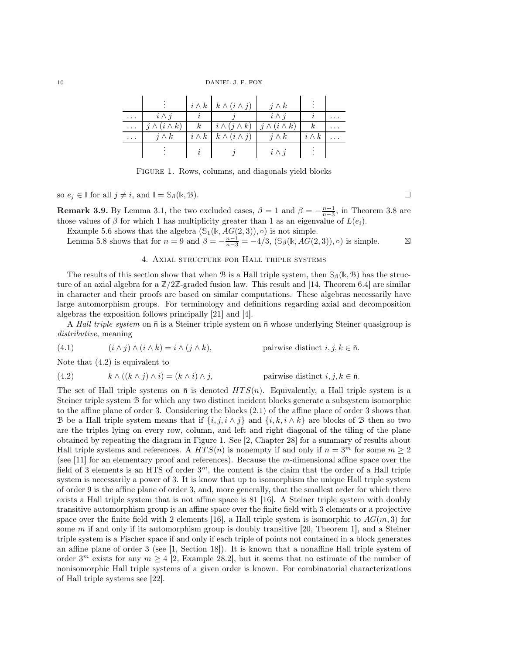10 DANIEL J. F. FOX

|          |                         | $i \wedge k \mid k \wedge (i \wedge j)$                   | $j \wedge k$ |              |  |
|----------|-------------------------|-----------------------------------------------------------|--------------|--------------|--|
| $\cdots$ | $i \wedge j$            |                                                           | $i \wedge i$ |              |  |
| $\cdots$ | $j \wedge (i \wedge k)$ | $k \mid i \wedge (j \wedge k) \mid j \wedge (i \wedge k)$ |              | $\kappa$     |  |
| $\cdots$ | $i \wedge k$            | $i \wedge k \mid k \wedge (i \wedge j)$                   | $i \wedge k$ | $i \wedge k$ |  |
|          |                         |                                                           | $i \wedge j$ |              |  |

<span id="page-9-2"></span>Figure 1. Rows, columns, and diagonals yield blocks

so  $e_j \in \mathbb{I}$  for all  $j \neq i$ , and  $\mathbb{I} = \mathbb{S}_{\beta}(\mathbb{k}, \mathcal{B})$ .

**Remark 3.9.** By Lemma [3.1,](#page-5-0) the two excluded cases,  $\beta = 1$  and  $\beta = -\frac{n-1}{n-3}$ , in Theorem [3.8](#page-8-0) are those values of  $\beta$  for which 1 has multiplicity greater than 1 as an eigenvalue of  $L(e_i)$ .

Example [5.6](#page-18-0) shows that the algebra  $(\mathcal{S}_1(\mathbb{k}, AG(2,3)), \circ)$  is not simple.

<span id="page-9-0"></span>Lemma [5.8](#page-18-1) shows that for  $n = 9$  and  $\beta = -\frac{n-1}{n-3} = -4/3$ , (*S<sub>β</sub>*(k, *AG*(2, 3)), ∘) is simple. ⊠

## 4. Axial structure for Hall triple systems

The results of this section show that when B is a Hall triple system, then  $\mathcal{S}_{\beta}(\mathbf{k}, \mathcal{B})$  has the structure of an axial algebra for a  $\mathbb{Z}/2\mathbb{Z}$ -graded fusion law. This result and [\[14,](#page-19-4) Theorem 6.4] are similar in character and their proofs are based on similar computations. These algebras necessarily have large automorphism groups. For terminology and definitions regarding axial and decomposition algebras the exposition follows principally [\[21\]](#page-20-2) and [\[4\]](#page-19-3).

A Hall triple system on  $\bar{n}$  is a Steiner triple system on  $\bar{n}$  whose underlying Steiner quasigroup is distributive, meaning

<span id="page-9-3"></span>(4.1) 
$$
(i \wedge j) \wedge (i \wedge k) = i \wedge (j \wedge k),
$$
 pairwise distinct  $i, j, k \in \bar{n}$ .

Note that [\(4.2\)](#page-9-1) is equivalent to

<span id="page-9-1"></span>(4.2) 
$$
k \wedge ((k \wedge j) \wedge i) = (k \wedge i) \wedge j, \qquad \text{pairwise distinct } i, j, k \in \bar{n}.
$$

The set of Hall triple systems on  $\bar{n}$  is denoted  $HTS(n)$ . Equivalently, a Hall triple system is a Steiner triple system B for which any two distinct incident blocks generate a subsystem isomorphic to the affine plane of order 3. Considering the blocks [\(2.1\)](#page-2-3) of the affine place of order 3 shows that B be a Hall triple system means that if  $\{i, j, i \wedge j\}$  and  $\{i, k, i \wedge k\}$  are blocks of B then so two are the triples lying on every row, column, and left and right diagonal of the tiling of the plane obtained by repeating the diagram in Figure [1.](#page-9-2) See [\[2,](#page-19-6) Chapter 28] for a summary of results about Hall triple systems and references. A  $HTS(n)$  is nonempty if and only if  $n = 3^m$  for some  $m \ge 2$ (see [\[11\]](#page-19-11) for an elementary proof and references). Because the  $m$ -dimensional affine space over the field of 3 elements is an HTS of order  $3<sup>m</sup>$ , the content is the claim that the order of a Hall triple system is necessarily a power of 3. It is know that up to isomorphism the unique Hall triple system of order 9 is the affine plane of order 3, and, more generally, that the smallest order for which there exists a Hall triple system that is not affine space is 81 [\[16\]](#page-20-11). A Steiner triple system with doubly transitive automorphism group is an affine space over the finite field with 3 elements or a projective space over the finite field with 2 elements [\[16\]](#page-20-11), a Hall triple system is isomorphic to  $AG(m, 3)$  for some m if and only if its automorphism group is doubly transitive [\[20,](#page-20-12) Theorem 1], and a Steiner triple system is a Fischer space if and only if each triple of points not contained in a block generates an affine plane of order 3 (see [\[1,](#page-19-5) Section 18]). It is known that a nonaffine Hall triple system of order  $3^m$  exists for any  $m \geq 4$  [\[2,](#page-19-6) Example 28.2], but it seems that no estimate of the number of nonisomorphic Hall triple systems of a given order is known. For combinatorial characterizations of Hall triple systems see [\[22\]](#page-20-13).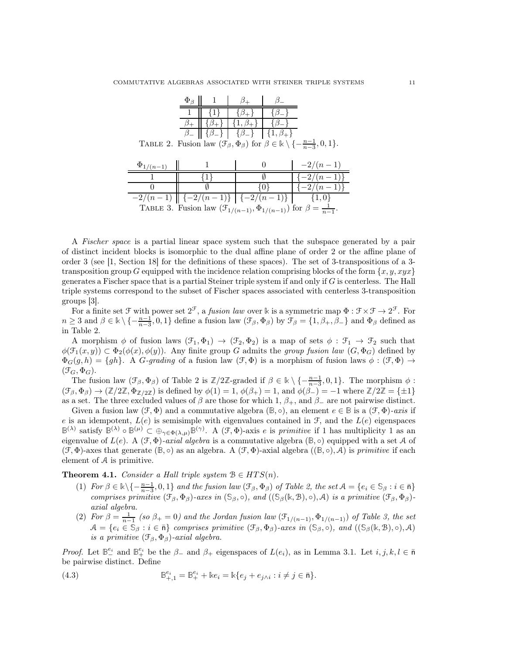<span id="page-10-1"></span>

|                                                                                                                            | $\Phi_{\beta}$ |    |                                                             |          |                                                                                             |  |  |
|----------------------------------------------------------------------------------------------------------------------------|----------------|----|-------------------------------------------------------------|----------|---------------------------------------------------------------------------------------------|--|--|
|                                                                                                                            |                |    | $\{\beta_{+}\}\$                                            |          |                                                                                             |  |  |
|                                                                                                                            |                |    | $\{1,\beta_{+}\}\$                                          |          |                                                                                             |  |  |
|                                                                                                                            |                |    | $\beta$   $\{\beta_-\}\$   $\{\beta_-\}\$   $\{1,\beta_+\}$ |          |                                                                                             |  |  |
| TABLE 2. Fusion law $(\mathcal{F}_{\beta}, \Phi_{\beta})$ for $\beta \in \mathbb{k} \setminus \{-\frac{n-1}{n-3}, 0, 1\}.$ |                |    |                                                             |          |                                                                                             |  |  |
|                                                                                                                            |                |    |                                                             |          |                                                                                             |  |  |
| $\Phi_{1/(n-1)}$                                                                                                           |                |    |                                                             | $\Omega$ | $-2/(n-1)$                                                                                  |  |  |
|                                                                                                                            |                |    |                                                             |          |                                                                                             |  |  |
|                                                                                                                            |                | {1 |                                                             | Ø.       | $\{-2/(n-1)\}\$                                                                             |  |  |
|                                                                                                                            |                |    |                                                             | 10 F     | $\{-2/(n-1)\}\$                                                                             |  |  |
| $-2/(n-1)$ $\left[\{-2/(n-1)\}\right]$ $\{-2/(n-1)\}\right]$ $\{1,0\}$                                                     |                |    |                                                             |          | TABLE 3. Fusion law $(\mathcal{F}_{1/(n-1)}, \Phi_{1/(n-1)})$ for $\beta = \frac{1}{n-1}$ . |  |  |

<span id="page-10-2"></span>A Fischer space is a partial linear space system such that the subspace generated by a pair of distinct incident blocks is isomorphic to the dual affine plane of order 2 or the affine plane of order 3 (see [\[1,](#page-19-5) Section 18] for the definitions of these spaces). The set of 3-transpositions of a 3 transposition group G equipped with the incidence relation comprising blocks of the form  $\{x, y, xyx\}$ generates a Fischer space that is a partial Steiner triple system if and only if  $G$  is centerless. The Hall triple systems correspond to the subset of Fischer spaces associated with centerless 3-transposition groups [\[3\]](#page-19-12).

For a finite set  $\mathcal{F}$  with power set  $2^{\mathcal{F}}$ , a *fusion law* over k is a symmetric map  $\Phi : \mathcal{F} \times \mathcal{F} \to 2^{\mathcal{F}}$ . For  $n \geq 3$  and  $\beta \in \mathbb{k} \setminus \{-\frac{n-1}{n-3}, 0, 1\}$  define a fusion law  $(\mathcal{F}_{\beta}, \Phi_{\beta})$  by  $\mathcal{F}_{\beta} = \{1, \beta_+, \beta_-\}$  and  $\Phi_{\beta}$  defined as in Table [2.](#page-10-1)

A morphism  $\phi$  of fusion laws  $(\mathcal{F}_1, \Phi_1) \to (\mathcal{F}_2, \Phi_2)$  is a map of sets  $\phi : \mathcal{F}_1 \to \mathcal{F}_2$  such that  $\phi(\mathcal{F}_1(x,y)) \subset \Phi_2(\phi(x), \phi(y))$ . Any finite group G admits the group fusion law  $(G, \Phi_G)$  defined by  $\Phi_G(g, h) = \{gh\}.$  A G-grading of a fusion law  $(\mathcal{F}, \Phi)$  is a morphism of fusion laws  $\phi : (\mathcal{F}, \Phi) \to$  $(\mathfrak{F}_G, \Phi_G).$ 

The fusion law  $(\mathcal{F}_{\beta}, \Phi_{\beta})$  of Table [2](#page-10-1) is  $\mathbb{Z}/2\mathbb{Z}$ -graded if  $\beta \in \mathbb{R} \setminus \{-\frac{n-1}{n-3}, 0, 1\}$ . The morphism  $\phi$ :  $(\mathcal{F}_{\beta}, \Phi_{\beta}) \rightarrow (\mathbb{Z}/2\mathbb{Z}, \Phi_{\mathbb{Z}/2\mathbb{Z}})$  is defined by  $\phi(1) = 1$ ,  $\phi(\beta_+) = 1$ , and  $\phi(\beta_-) = -1$  where  $\mathbb{Z}/2\mathbb{Z} = {\pm 1}$ as a set. The three excluded values of  $\beta$  are those for which 1,  $\beta_+$ , and  $\beta_-$  are not pairwise distinct.

Given a fusion law  $(\mathcal{F}, \Phi)$  and a commutative algebra  $(\mathbb{B}, \circ)$ , an element  $e \in \mathbb{B}$  is a  $(\mathcal{F}, \Phi)$ -axis if e is an idempotent,  $L(e)$  is semisimple with eigenvalues contained in  $\mathcal{F}$ , and the  $L(e)$  eigenspaces  $\mathbb{B}^{(\lambda)}$  satisfy  $\mathbb{B}^{(\lambda)} \circ \mathbb{B}^{(\mu)} \subset \bigoplus_{\gamma \in \Phi(\lambda,\mu)} \mathbb{B}^{(\gamma)}$ . A  $(\mathcal{F}, \Phi)$ -axis e is primitive if 1 has multiplicity 1 as an eigenvalue of  $L(e)$ . A  $(\mathcal{F}, \Phi)$ -axial algebra is a commutative algebra  $(\mathbb{B}, \circ)$  equipped with a set A of  $(\mathcal{F}, \Phi)$ -axes that generate  $(\mathbb{B}, \circ)$  as an algebra. A  $(\mathcal{F}, \Phi)$ -axial algebra  $((\mathbb{B}, \circ), \mathcal{A})$  is *primitive* if each element of A is primitive.

<span id="page-10-0"></span>Theorem 4.1. Consider a Hall triple system  $B \in HTS(n)$ .

- (1) For  $\beta \in \mathbb{k} \setminus \{-\frac{n-1}{n-3}, 0, 1\}$  and the fusion law  $(\mathcal{F}_{\beta}, \Phi_{\beta})$  of Table [2,](#page-10-1) the set  $\mathcal{A} = \{e_i \in \mathbb{S}_{\beta} : i \in \bar{\mathsf{n}}\}$ comprises primitive  $(\mathcal{F}_{\beta}, \Phi_{\beta})$ -axes in  $(\mathcal{S}_{\beta}, \circ),$  and  $((\mathcal{S}_{\beta}(\mathbb{k}, \mathcal{B}), \circ), \mathcal{A})$  is a primitive  $(\mathcal{F}_{\beta}, \Phi_{\beta})$ axial algebra.
- (2) For  $\beta = \frac{1}{n-1}$  (so  $\beta_+ = 0$ ) and the Jordan fusion law  $(\mathcal{F}_{1/(n-1)}, \Phi_{1/(n-1)})$  of Table [3,](#page-10-2) the set  $A = \{e_i \in \mathbb{S}_\beta : i \in \bar{\mathfrak{n}}\}$  comprises primitive  $(\mathcal{F}_\beta, \Phi_\beta)$ -axes in  $(\mathbb{S}_\beta, \circ),$  and  $((\mathbb{S}_\beta(\mathbb{k}, \mathbb{B}), \circ), \mathcal{A})$ is a primitive  $(\mathcal{F}_{\beta}, \Phi_{\beta})$ -axial algebra.

Proof. Let  $\mathbb{B}^{e_i}_-$  and  $\mathbb{B}^{e_i}_+$  be the  $\beta_-$  and  $\beta_+$  eigenspaces of  $L(e_i)$ , as in Lemma [3.1.](#page-5-0) Let  $i, j, k, l \in \bar{n}$ be pairwise distinct. Define

<span id="page-10-3"></span>(4.3) 
$$
\mathbb{B}_{+,1}^{e_i} = \mathbb{B}_+^{e_i} + \Bbbk e_i = \Bbbk \{ e_j + e_{j \wedge i} : i \neq j \in \bar{\mathsf{n}} \}.
$$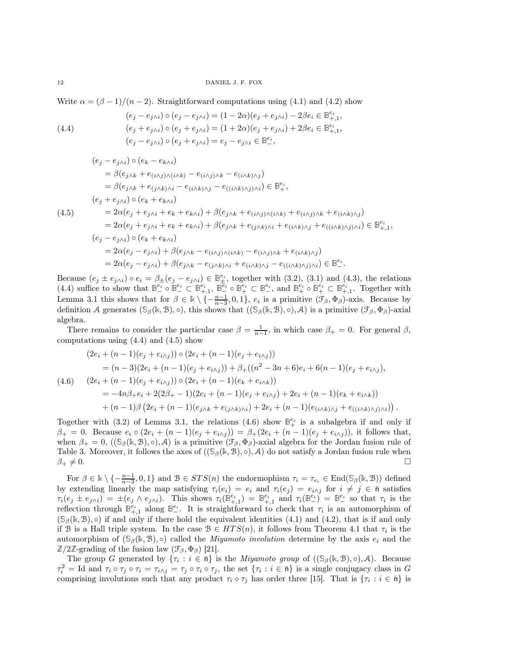Write  $\alpha = (\beta - 1)/(n - 2)$ . Straightforward computations using [\(4.1\)](#page-9-3) and [\(4.2\)](#page-9-1) show

<span id="page-11-0"></span>(4.4) 
$$
(e_j - e_{j\wedge i}) \circ (e_j - e_{j\wedge i}) = (1 - 2\alpha)(e_j + e_{j\wedge i}) - 2\beta e_i \in \mathbb{B}^{e_i}_{+,1},
$$

$$
(e_j + e_{j\wedge i}) \circ (e_j + e_{j\wedge i}) = (1 + 2\alpha)(e_j + e_{j\wedge i}) + 2\beta e_i \in \mathbb{B}^{e_i}_{+,1},
$$

$$
(e_j - e_{j\wedge i}) \circ (e_j + e_{j\wedge i}) = e_j - e_{j\wedge i} \in \mathbb{B}^{e_i}_{-},
$$

<span id="page-11-1"></span>
$$
(e_j - e_{j\wedge i}) \circ (e_k - e_{k\wedge i})
$$
  
\n
$$
= \beta(e_{j\wedge k} + e_{(i\wedge j)\wedge (i\wedge k)} - e_{(i\wedge j)\wedge k} - e_{(i\wedge k)\wedge j})
$$
  
\n
$$
= \beta(e_{j\wedge k} + e_{(j\wedge k)\wedge i} - e_{(i\wedge k)\wedge j} - e_{((i\wedge k)\wedge j)\wedge i}) \in \mathbb{B}^{e_i},
$$
  
\n
$$
(e_j + e_{j\wedge i}) \circ (e_k + e_{k\wedge i})
$$
  
\n
$$
= 2\alpha(e_j + e_{j\wedge i} + e_k + e_{k\wedge i}) + \beta(e_{j\wedge k} + e_{(i\wedge j)\wedge (i\wedge k)} + e_{(i\wedge j)\wedge k} + e_{(i\wedge k)\wedge j})
$$
  
\n
$$
= 2\alpha(e_j + e_{j\wedge i} + e_k + e_{k\wedge i}) + \beta(e_{j\wedge k} + e_{(j\wedge k)\wedge i} + e_{(i\wedge k)\wedge j} + e_{((i\wedge k)\wedge j)\wedge i}) \in \mathbb{B}^{e_i}_{+,1},
$$
  
\n
$$
(e_j - e_{j\wedge i}) \circ (e_k + e_{k\wedge i})
$$
  
\n
$$
= 2\alpha(e_j - e_{j\wedge i}) + \beta(e_{j\wedge k} - e_{(i\wedge j)\wedge (i\wedge k)} - e_{(i\wedge j)\wedge k} + e_{(i\wedge k)\wedge j})
$$
  
\n
$$
= 2\alpha(e_j - e_{j\wedge i}) + \beta(e_{j\wedge k} - e_{(j\wedge k)\wedge i} + e_{(i\wedge k)\wedge j} - e_{((i\wedge k)\wedge j)\wedge i}) \in \mathbb{B}^{e_i}_-.
$$

Because  $(e_j \pm e_{j\wedge i}) \circ e_i = \beta_{\pm}(e_j - e_{j\wedge i}) \in \mathbb{B}_{\pm}^{e_i}$ , together with [\(3.2\)](#page-5-2), [\(3.1\)](#page-5-3) and [\(4.3\)](#page-10-3), the relations  $(4.4)$  suffice to show that  $\mathbb{B}^{e_i}_{-} \circ \mathbb{B}^{e_i}_{-} \subset \mathbb{B}^{e_i}_{+,1}$ ,  $\mathbb{B}^{\overline{e_i}}_{-} \circ \mathbb{B}^{e_i}_{+} \subset \mathbb{B}^{e_i}_{-}$ , and  $\mathbb{B}^{e_i}_{+} \circ \mathbb{B}^{e_i}_{+} \subset \mathbb{B}^{e_i}_{+,1}$ . Together with Lemma [3.1](#page-5-0) this shows that for  $\beta \in \mathbb{k} \setminus \{-\frac{n-1}{n-3}, 0, 1\}$ ,  $e_i$  is a primitive  $(\mathcal{F}_{\beta}, \Phi_{\beta})$ -axis. Because by definition A generates  $(\mathcal{S}_{\beta}(\mathbb{k}, \mathcal{B}), \circ)$ , this shows that  $((\mathcal{S}_{\beta}(\mathbb{k}, \mathcal{B}), \circ), \mathcal{A})$  is a primitive  $(\mathcal{F}_{\beta}, \Phi_{\beta})$ -axial algebra.

There remains to consider the particular case  $\beta = \frac{1}{n-1}$ , in which case  $\beta_+ = 0$ . For general  $\beta$ , computations using  $(4.4)$  and  $(4.5)$  show

<span id="page-11-2"></span>
$$
(2e_i + (n-1)(e_j + e_{i\wedge j})) \circ (2e_i + (n-1)(e_j + e_{i\wedge j}))
$$
  
=  $(n-3)(2e_i + (n-1)(e_j + e_{i\wedge j})) + \beta_+((n^2 - 3n + 6)e_i + 6(n-1)(e_j + e_{i\wedge j}),$   
 $(4.6)$   $(2e_i + (n-1)(e_j + e_{i\wedge j})) \circ (2e_i + (n-1)(e_k + e_{i\wedge k}))$   
=  $-4n\beta_+e_i + 2(2\beta_+ - 1)(2e_i + (n-1)(e_j + e_{i\wedge j}) + 2e_i + (n-1)(e_k + e_{i\wedge k}))$   
+  $(n-1)\beta(2e_i + (n-1)(e_{j\wedge k} + e_{(j\wedge k)\wedge i}) + 2e_i + (n-1)(e_{(i\wedge k)\wedge j} + e_{((i\wedge k)\wedge j)\wedge i}))$ .

Together with [\(3.2\)](#page-5-2) of Lemma [3.1,](#page-5-0) the relations [\(4.6\)](#page-11-2) show  $\mathbb{B}^{e_i}_+$  is a subalgebra if and only if  $\beta_+ = 0$ . Because  $e_i \circ (2e_i + (n-1)(e_j + e_{i \wedge j})) = \beta_+(2e_i + (n-1)(e_j + e_{i \wedge j}))$ , it follows that, when  $\beta_+ = 0$ ,  $((\mathcal{S}_{\beta}(\mathbb{k}, \mathcal{B}), \circ), \mathcal{A})$  is a primitive  $(\mathcal{F}_{\beta}, \Phi_{\beta})$ -axial algebra for the Jordan fusion rule of Table [3.](#page-10-2) Moreover, it follows the axes of  $((\mathcal{S}_{\beta}(\mathbb{k}, \mathcal{B}), \circ), \mathcal{A})$  do not satisfy a Jordan fusion rule when  $\beta_+ \neq 0.$ 

For  $\beta \in \mathbb{k} \setminus \{-\frac{n-1}{n-3}, 0, 1\}$  and  $\mathcal{B} \in STS(n)$  the endormophism  $\tau_i = \tau_{e_i} \in \text{End}(\mathcal{S}_{\beta}(\mathbb{k}, \mathcal{B}))$  defined by extending linearly the map satisfying  $\tau_i(e_i) = e_i$  and  $\tau_i(e_j) = e_{i \wedge j}$  for  $i \neq j \in \overline{\mathfrak{n}}$  satisfies  $\tau_i(e_j \pm e_{j\wedge i}) = \pm(e_j \wedge e_{j\wedge i})$ . This shows  $\tau_i(\mathbb{B}_{+,1}^{e_i}) = \mathbb{B}_{+,1}^{e_i}$  and  $\tau_i(\mathbb{B}_{-}^{e_i}) = \mathbb{B}_{-}^{e_i}$  so that  $\tau_i$  is the reflection through  $\mathbb{B}_{+1}^{e_i}$  along  $\mathbb{B}_{-}^{e_i}$ . It is straightforward to check that  $\tau_i$  is an automorphism of  $(\mathcal{S}_{\beta}(\mathbb{k}, \mathcal{B}), \circ)$  if and only if there hold the equivalent identities [\(4.1\)](#page-9-3) and [\(4.2\)](#page-9-1), that is if and only if B is a Hall triple system. In the case  $B \in HTS(n)$ , it follows from Theorem [4.1](#page-10-0) that  $\tau_i$  is the automorphism of  $(\mathcal{S}_{\beta}(\mathbb{k}, \mathcal{B}), \circ)$  called the *Miyamoto involution* determine by the axis  $e_i$  and the  $\mathbb{Z}/2\mathbb{Z}$ -grading of the fusion law  $(\mathcal{F}_{\beta}, \Phi_{\beta})$  [\[21\]](#page-20-2).

The group G generated by  $\{\tau_i : i \in \bar{\mathfrak{n}}\}$  is the *Miyamoto group* of  $((\mathcal{S}_{\beta}(\mathbb{k}, \mathcal{B}), \circ), \mathcal{A})$ . Because  $\tau_i^2 = \text{Id}$  and  $\tau_i \circ \tau_j \circ \tau_i = \tau_{i \wedge j} = \tau_j \circ \tau_i \circ \tau_j$ , the set  $\{\tau_i : i \in \bar{\mathfrak{n}}\}$  is a single conjugacy class in G comprising involutions such that any product  $\tau_i \circ \tau_j$  has order three [\[15\]](#page-19-13). That is  $\{\tau_i : i \in \bar{\mathfrak{n}}\}$  is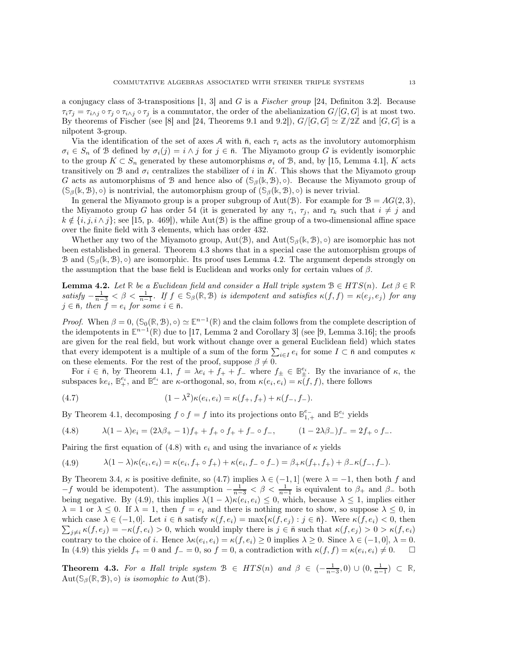a conjugacy class of 3-transpositions  $[1, 3]$  $[1, 3]$  and G is a Fischer group [\[24,](#page-20-14) Definiton 3.2]. Because  $\tau_i\tau_j = \tau_{i\wedge j} \circ \tau_j \circ \tau_{i\wedge j} \circ \tau_j$  is a commutator, the order of the abelianization  $G/[G, G]$  is at most two. By theorems of Fischer (see [\[8\]](#page-19-14) and [\[24,](#page-20-14) Theorems 9.1 and 9.2]),  $G/[G, G] \simeq \mathbb{Z}/2\mathbb{Z}$  and  $[G, G]$  is a nilpotent 3-group.

Via the identification of the set of axes A with  $\bar{n}$ , each  $\tau_i$  acts as the involutory automorphism  $\sigma_i \in S_n$  of B defined by  $\sigma_i(j) = i \wedge j$  for  $j \in \overline{n}$ . The Miyamoto group G is evidently isomorphic to the group  $K \subset S_n$  generated by these automorphisms  $\sigma_i$  of B, and, by [\[15,](#page-19-13) Lemma 4.1], K acts transitively on B and  $\sigma_i$  centralizes the stabilizer of i in K. This shows that the Miyamoto group G acts as automorphisms of B and hence also of  $(\mathcal{S}_{\beta}(\mathbb{k}, \mathcal{B}), \circ)$ . Because the Miyamoto group of  $(\mathcal{S}_{\beta}(\mathbb{k}, \mathcal{B}), \circ)$  is nontrivial, the automorphism group of  $(\mathcal{S}_{\beta}(\mathbb{k}, \mathcal{B}), \circ)$  is never trivial.

In general the Miyamoto group is a proper subgroup of Aut(B). For example for  $B = AG(2, 3)$ , the Miyamoto group G has order 54 (it is generated by any  $\tau_i$ ,  $\tau_j$ , and  $\tau_k$  such that  $i \neq j$  and  $k \notin \{i, j, i \wedge j\}$ ; see [\[15,](#page-19-13) p. 469]), while Aut(B) is the affine group of a two-dimensional affine space over the finite field with 3 elements, which has order 432.

Whether any two of the Miyamoto group,  $Aut(\mathcal{B})$ , and  $Aut(\mathcal{S}_{\beta}(\mathbb{k}, \mathcal{B}), \circ)$  are isomorphic has not been established in general. Theorem [4.3](#page-12-0) shows that in a special case the automorphism groups of B and  $(\mathcal{S}_{\beta}(\mathbb{k}, \mathcal{B}), \circ)$  are isomorphic. Its proof uses Lemma [4.2.](#page-12-1) The argument depends strongly on the assumption that the base field is Euclidean and works only for certain values of  $\beta$ .

<span id="page-12-1"></span>**Lemma 4.2.** Let  $\mathbb{R}$  be a Euclidean field and consider a Hall triple system  $\mathcal{B} \in HTS(n)$ . Let  $\beta \in \mathbb{R}$  $satisfy -\frac{1}{n-3} < \beta < \frac{1}{n-1}$ . If  $f \in \mathbb{S}_{\beta}(\mathbb{R}, \mathcal{B})$  is idempotent and satisfies  $\kappa(f, f) = \kappa(e_j, e_j)$  for any  $j \in \bar{\mathsf{n}}$ , then  $\check{f} = e_i$  for some  $i \in \bar{\mathsf{n}}$ .

*Proof.* When  $\beta = 0$ ,  $(\mathbb{S}_0(\mathbb{R}, \mathbb{B}), \circ) \simeq \mathbb{E}^{n-1}(\mathbb{R})$  and the claim follows from the complete description of the idempotents in  $\mathbb{E}^{n-1}(\mathbb{R})$  due to [\[17,](#page-20-3) Lemma 2 and Corollary 3] (see [\[9,](#page-19-0) Lemma 3.16]; the proofs are given for the real field, but work without change over a general Euclidean field) which states that every idempotent is a multiple of a sum of the form  $\sum_{i\in I} e_i$  for some  $I\subset \bar{\mathsf{n}}$  and computes  $\kappa$ on these elements. For the rest of the proof, suppose  $\beta \neq 0$ .

For  $i \in \overline{n}$ , by Theorem [4.1,](#page-10-0)  $f = \lambda e_i + f_+ + f_-$  where  $f_\pm \in \mathbb{B}^{e_i}_\pm$ . By the invariance of  $\kappa$ , the subspaces  $\mathbb{R}e_i$ ,  $\mathbb{B}^{e_i}_+$ , and  $\mathbb{B}^{e_i}_-$  are  $\kappa$ -orthogonal, so, from  $\kappa(e_i, e_i) = \kappa(f, f)$ , there follows

<span id="page-12-3"></span>(4.7) 
$$
(1 - \lambda^2)\kappa(e_i, e_i) = \kappa(f_+, f_+) + \kappa(f_-, f_-).
$$

By Theorem [4.1,](#page-10-0) decomposing  $f \circ f = f$  into its projections onto  $\mathbb{B}^{e-}_{1,+}$  and  $\mathbb{B}^{e_i}$  yields

<span id="page-12-2"></span>(4.8) 
$$
\lambda (1 - \lambda) e_i = (2\lambda \beta_+ - 1) f_+ + f_+ \circ f_+ + f_- \circ f_-, \qquad (1 - 2\lambda \beta_-) f_- = 2f_+ \circ f_-.
$$

Pairing the first equation of [\(4.8\)](#page-12-2) with  $e_i$  and using the invariance of  $\kappa$  yields

<span id="page-12-4"></span>(4.9) 
$$
\lambda (1 - \lambda) \kappa(e_i, e_i) = \kappa(e_i, f_+ \circ f_+) + \kappa(e_i, f_- \circ f_-) = \beta_+ \kappa(f_+, f_+) + \beta_- \kappa(f_-, f_-).
$$

By Theorem [3.4,](#page-6-0)  $\kappa$  is positive definite, so [\(4.7\)](#page-12-3) implies  $\lambda \in (-1, 1]$  (were  $\lambda = -1$ , then both f and  $-f$  would be idempotent). The assumption  $-\frac{1}{n-3} < \beta < \frac{1}{n-1}$  is equivalent to  $\beta_+$  and  $\beta_-$  both being negative. By [\(4.9\)](#page-12-4), this implies  $\lambda(1-\lambda)\kappa(e_i,e_i) \leq 0$ , which, because  $\lambda \leq 1$ , implies either  $\lambda = 1$  or  $\lambda \leq 0$ . If  $\lambda = 1$ , then  $f = e_i$  and there is nothing more to show, so suppose  $\lambda \leq 0$ , in  $\sum_{j\neq i} \kappa(f, e_j) = -\kappa(f, e_i) > 0$ , which would imply there is  $j \in \bar{\mathfrak{n}}$  such that  $\kappa(f, e_j) > 0 > \kappa(f, e_i)$ which case  $\lambda \in (-1,0]$ . Let  $i \in \bar{\mathsf{n}}$  satisfy  $\kappa(f,e_i) = \max\{\kappa(f,e_j) : j \in \bar{\mathsf{n}}\}$ . Were  $\kappa(f,e_i) < 0$ , then contrary to the choice of i. Hence  $\lambda \kappa(e_i, e_i) = \kappa(f, e_i) \ge 0$  implies  $\lambda \ge 0$ . Since  $\lambda \in (-1, 0], \lambda = 0$ . In [\(4.9\)](#page-12-4) this yields  $f_+ = 0$  and  $f_- = 0$ , so  $f = 0$ , a contradiction with  $\kappa(f, f) = \kappa(e_i, e_i) \neq 0$ .  $\Box$ 

<span id="page-12-0"></span>Theorem 4.3. For a Hall triple system  $\mathcal{B} \in HTS(n)$  and  $\beta \in (-\frac{1}{n-3},0) \cup (0,\frac{1}{n-1}) \subset \mathbb{R}$ , Aut $(\mathbb{S}_{\beta}(\mathbb{R}, \mathcal{B}), \circ)$  *is isomophic to* Aut $(\mathcal{B})$ .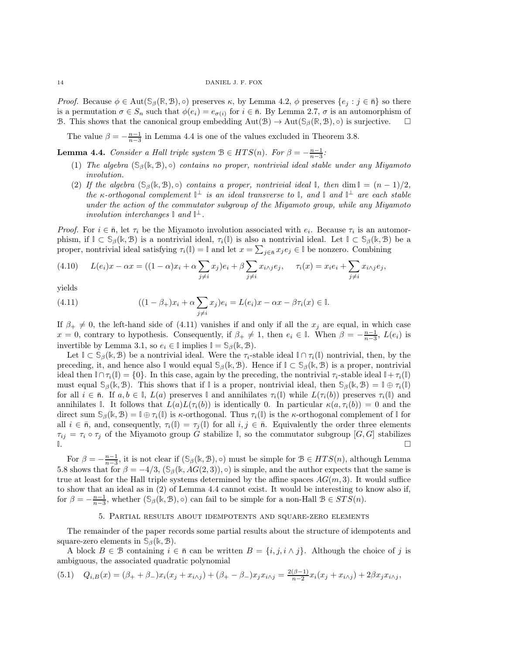*Proof.* Because  $\phi \in \text{Aut}(\mathcal{S}_{\beta}(\mathbb{R}, \mathcal{B}), \circ)$  preserves  $\kappa$ , by Lemma [4.2,](#page-12-1)  $\phi$  preserves  $\{e_i : j \in \bar{\mathsf{n}}\}$  so there is a permutation  $\sigma \in S_n$  such that  $\phi(e_i) = e_{\sigma(i)}$  for  $i \in \bar{\mathfrak{n}}$ . By Lemma [2.7,](#page-5-1)  $\sigma$  is an automorphism of B. This shows that the canonical group embedding  $Aut(\mathcal{B}) \to Aut(\mathcal{S}_{\beta}(\mathbb{R}, \mathcal{B}), \circ)$  is surjective.

The value  $\beta = -\frac{n-1}{n-3}$  in Lemma [4.4](#page-13-1) is one of the values excluded in Theorem [3.8.](#page-8-0)

<span id="page-13-1"></span>**Lemma 4.4.** Consider a Hall triple system  $\mathcal{B} \in HTS(n)$ . For  $\beta = -\frac{n-1}{n-3}$ :

- <span id="page-13-3"></span>(1) The algebra (**S**β(**k**, B), ◦) contains no proper, nontrivial ideal stable under any Miyamoto involution.
- (2) If the algebra  $(\mathcal{S}_{\beta}(\mathbb{k}, \mathcal{B}), \circ)$  contains a proper, nontrivial ideal **I**, then dim  $\mathbb{I} = (n-1)/2$ , the  $\kappa$ -orthogonal complement  $\mathbb{I}^{\perp}$  is an ideal transverse to  $\mathbb{I}$ , and  $\mathbb{I}$  and  $\mathbb{I}^{\perp}$  are each stable under the action of the commutator subgroup of the Miyamoto group, while any Miyamoto involution interchanges  $\mathbb{I}$  and  $\mathbb{I}^{\perp}$ .

Proof. For  $i \in \bar{\mathfrak{n}}$ , let  $\tau_i$  be the Miyamoto involution associated with  $e_i$ . Because  $\tau_i$  is an automorphism, if  $\mathbb{I} \subset \mathbb{S}_{\beta}(\mathbb{k}, \mathcal{B})$  is a nontrivial ideal,  $\tau_i(\mathbb{I})$  is also a nontrivial ideal. Let  $\mathbb{I} \subset \mathbb{S}_{\beta}(\mathbb{k}, \mathcal{B})$  be a proper, nontrivial ideal satisfying  $\tau_i(\mathbb{I}) = \mathbb{I}$  and let  $x = \sum_{j \in \bar{\mathfrak{n}}} x_j e_j \in \mathbb{I}$  be nonzero. Combining

$$
(4.10) \qquad L(e_i)x - \alpha x = ((1 - \alpha)x_i + \alpha \sum_{j \neq i} x_j)e_i + \beta \sum_{j \neq i} x_{i \wedge j}e_j, \qquad \tau_i(x) = x_i e_i + \sum_{j \neq i} x_{i \wedge j}e_j,
$$

yields

<span id="page-13-2"></span>(4.11) 
$$
((1 - \beta_{+})x_{i} + \alpha \sum_{j \neq i} x_{j})e_{i} = L(e_{i})x - \alpha x - \beta \tau_{i}(x) \in \mathbb{I}.
$$

If  $\beta_+ \neq 0$ , the left-hand side of [\(4.11\)](#page-13-2) vanishes if and only if all the  $x_j$  are equal, in which case  $x = 0$ , contrary to hypothesis. Consequently, if  $\beta_+ \neq 1$ , then  $e_i \in \mathbb{I}$ . When  $\beta = -\frac{n-1}{n-3}$ ,  $L(e_i)$  is invertible by Lemma [3.1,](#page-5-0) so  $e_i \in \mathbb{I}$  implies  $\mathbb{I} = \mathbb{S}_{\beta}(\mathbb{k}, \mathcal{B})$ .

Let  $\mathbb{I} \subset \mathcal{S}_{\beta}(\mathbb{k}, \mathcal{B})$  be a nontrivial ideal. Were the  $\tau_i$ -stable ideal  $\mathbb{I} \cap \tau_i(\mathbb{I})$  nontrivial, then, by the preceding, it, and hence also **I** would equal  $\mathcal{S}_{\beta}(\mathbb{k}, \mathcal{B})$ . Hence if  $\mathbb{I} \subset \mathcal{S}_{\beta}(\mathbb{k}, \mathcal{B})$  is a proper, nontrivial ideal then  $\mathbb{I} \cap \tau_i(\mathbb{I}) = \{0\}$ . In this case, again by the preceding, the nontrivial  $\tau_i$ -stable ideal  $\mathbb{I} + \tau_i(\mathbb{I})$ must equal  $\mathcal{S}_{\beta}(\mathbb{k}, \mathcal{B})$ . This shows that if  $\mathbb{I}$  is a proper, nontrivial ideal, then  $\mathcal{S}_{\beta}(\mathbb{k}, \mathcal{B}) = \mathbb{I} \oplus \tau_i(\mathbb{I})$ for all  $i \in \overline{n}$ . If  $a, b \in \mathbb{I}$ ,  $L(a)$  preserves  $\mathbb{I}$  and annihilates  $\tau_i(\mathbb{I})$  while  $L(\tau_i(b))$  preserves  $\tau_i(\mathbb{I})$  and annihilates **I**. It follows that  $L(a)L(\tau_i(b))$  is identically 0. In particular  $\kappa(a,\tau_i(b)) = 0$  and the direct sum  $\mathcal{S}_{\beta}(\mathbb{k}, \mathcal{B}) = \mathbb{I} \oplus \tau_i(\mathbb{I})$  is  $\kappa$ -orthogonal. Thus  $\tau_i(\mathbb{I})$  is the  $\kappa$ -orthogonal complement of  $\mathbb{I}$  for all  $i \in \bar{\mathsf{n}}$ , and, consequently,  $\tau_i(\mathbb{I}) = \tau_i(\mathbb{I})$  for all  $i, j \in \bar{\mathsf{n}}$ . Equivalently the order three elements  $\tau_{ij} = \tau_i \circ \tau_j$  of the Miyamoto group G stabilize I, so the commutator subgroup [G, G] stabilizes **I**.

For  $\beta = -\frac{n-1}{n-3}$ , it is not clear if  $(\mathbb{S}_{\beta}(\mathbb{k}, \mathbb{B}), \circ)$  must be simple for  $\mathbb{B} \in HTS(n)$ , although Lemma [5.8](#page-18-1) shows that for  $\beta = -4/3$ ,  $(\mathcal{S}_{\beta}(\mathbb{k}, AG(2,3)), \circ)$  is simple, and the author expects that the same is true at least for the Hall triple systems determined by the affine spaces  $AG(m, 3)$ . It would suffice to show that an ideal as in [\(2\)](#page-13-3) of Lemma [4.4](#page-13-1) cannot exist. It would be interesting to know also if, for  $\beta = -\frac{n-1}{n-3}$ , whether  $(\mathcal{S}_{\beta}(\mathbb{k}, \mathcal{B}), \circ)$  can fail to be simple for a non-Hall  $\mathcal{B} \in STS(n)$ .

## 5. Partial results about idempotents and square-zero elements

<span id="page-13-0"></span>The remainder of the paper records some partial results about the structure of idempotents and square-zero elements in  $\mathcal{S}_{\beta}(\mathbb{k}, \mathcal{B})$ .

A block  $B \in \mathcal{B}$  containing  $i \in \bar{\mathfrak{n}}$  can be written  $B = \{i, j, i \wedge j\}$ . Although the choice of j is ambiguous, the associated quadratic polynomial

$$
(5.1) \quad Q_{i,B}(x) = (\beta_+ + \beta_-)x_i(x_j + x_{i \wedge j}) + (\beta_+ - \beta_-)x_jx_{i \wedge j} = \frac{2(\beta - 1)}{n - 2}x_i(x_j + x_{i \wedge j}) + 2\beta x_jx_{i \wedge j},
$$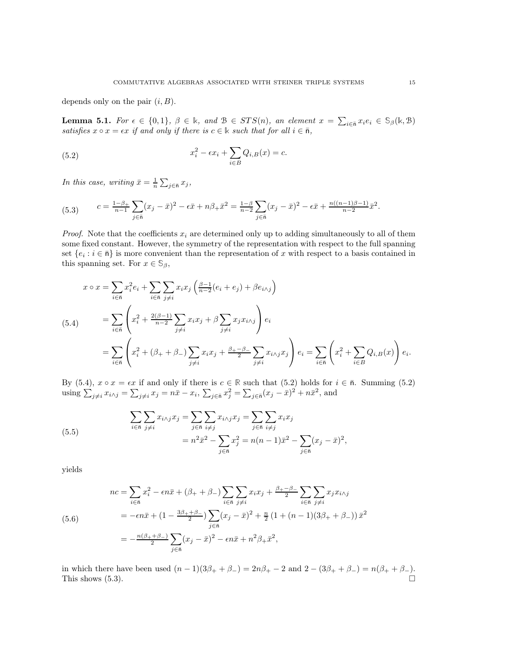depends only on the pair  $(i, B)$ .

**Lemma 5.1.** For  $\epsilon \in \{0,1\}$ ,  $\beta \in \mathbb{k}$ , and  $\mathcal{B} \in STS(n)$ , an element  $x = \sum_{i \in \bar{n}} x_i e_i \in \mathbb{S}_{\beta}(\mathbb{k}, \mathcal{B})$ satisfies  $x \circ x = \epsilon x$  if and only if there is  $c \in \mathbb{k}$  such that for all  $i \in \bar{n}$ ,

<span id="page-14-1"></span>(5.2) 
$$
x_i^2 - \epsilon x_i + \sum_{i \in B} Q_{i,B}(x) = c.
$$

In this case, writing  $\bar{x} = \frac{1}{n} \sum_{j \in \bar{n}} x_j$ ,

<span id="page-14-2"></span>(5.3) 
$$
c = \frac{1-\beta_{+}}{n-1} \sum_{j \in \bar{n}} (x_{j} - \bar{x})^{2} - \epsilon \bar{x} + n\beta_{+} \bar{x}^{2} = \frac{1-\beta}{n-2} \sum_{j \in \bar{n}} (x_{j} - \bar{x})^{2} - \epsilon \bar{x} + \frac{n((n-1)\beta - 1)}{n-2} \bar{x}^{2}.
$$

*Proof.* Note that the coefficients  $x_i$  are determined only up to adding simultaneously to all of them some fixed constant. However, the symmetry of the representation with respect to the full spanning set  $\{e_i : i \in \bar{n}\}$  is more convenient than the representation of x with respect to a basis contained in this spanning set. For  $x \in \mathbb{S}_{\beta}$ ,

<span id="page-14-0"></span>
$$
x \circ x = \sum_{i \in \overline{n}} x_i^2 e_i + \sum_{i \in \overline{n}} \sum_{j \neq i} x_i x_j \left( \frac{\beta - 1}{n - 2} (e_i + e_j) + \beta e_{i \wedge j} \right)
$$
  
\n
$$
= \sum_{i \in \overline{n}} \left( x_i^2 + \frac{2(\beta - 1)}{n - 2} \sum_{j \neq i} x_i x_j + \beta \sum_{j \neq i} x_j x_{i \wedge j} \right) e_i
$$
  
\n
$$
= \sum_{i \in \overline{n}} \left( x_i^2 + (\beta_+ + \beta_-) \sum_{j \neq i} x_i x_j + \frac{\beta + -\beta_-}{2} \sum_{j \neq i} x_{i \wedge j} x_j \right) e_i = \sum_{i \in \overline{n}} \left( x_i^2 + \sum_{i \in B} Q_{i,B}(x) \right) e_i.
$$

By [\(5.4\)](#page-14-0),  $x \circ x = \epsilon x$  if and only if there is  $c \in \mathbb{R}$  such that [\(5.2\)](#page-14-1) holds for  $i \in \bar{n}$ . Summing (5.2) using  $\sum_{j\neq i} x_{i \wedge j} = \sum_{j\neq i} x_j = n\bar{x} - x_i, \, \sum_{j \in \bar{n}} x_j^2 = \sum_{j \in \bar{n}} (x_j - \bar{x})^2 + n\bar{x}^2$ , and

(5.5) 
$$
\sum_{i \in \bar{n}} \sum_{j \neq i} x_{i \wedge j} x_j = \sum_{j \in \bar{n}} \sum_{i \neq j} x_{i \wedge j} x_j = \sum_{j \in \bar{n}} \sum_{i \neq j} x_i x_j = n^2 \bar{x}^2 - \sum_{j \in \bar{n}} x_j^2 = n(n-1)\bar{x}^2 - \sum_{j \in \bar{n}} (x_j - \bar{x})^2,
$$

yields

(5.6)  
\n
$$
nc = \sum_{i \in \bar{n}} x_i^2 - \epsilon n \bar{x} + (\beta_+ + \beta_-) \sum_{i \in \bar{n}} \sum_{j \neq i} x_i x_j + \frac{\beta_+ - \beta_-}{2} \sum_{i \in \bar{n}} \sum_{j \neq i} x_j x_{i \wedge j}
$$
\n
$$
= -\epsilon n \bar{x} + (1 - \frac{3\beta_+ + \beta_-}{2}) \sum_{j \in \bar{n}} (x_j - \bar{x})^2 + \frac{n}{2} (1 + (n - 1)(3\beta_+ + \beta_-)) \bar{x}^2
$$
\n
$$
= -\frac{n(\beta_+ + \beta_-)}{2} \sum_{j \in \bar{n}} (x_j - \bar{x})^2 - \epsilon n \bar{x} + n^2 \beta_+ \bar{x}^2,
$$

in which there have been used  $(n - 1)(3\beta_+ + \beta_-) = 2n\beta_+ - 2$  and  $2 - (3\beta_+ + \beta_-) = n(\beta_+ + \beta_-)$ . This shows  $(5.3)$ .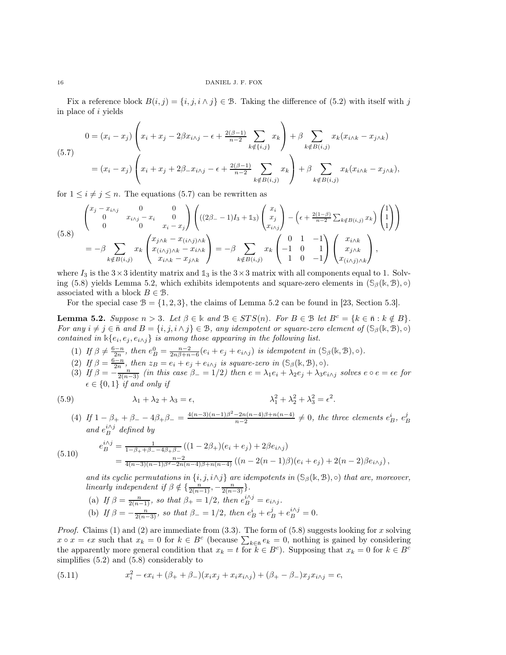Fix a reference block  $B(i, j) = \{i, j, i \wedge j\} \in \mathcal{B}$ . Taking the difference of [\(5.2\)](#page-14-1) with itself with j in place of i yields

<span id="page-15-0"></span>
$$
(5.7) \quad 0 = (x_i - x_j) \left( x_i + x_j - 2\beta x_{i \wedge j} - \epsilon + \frac{2(\beta - 1)}{n - 2} \sum_{k \notin \{i, j\}} x_k \right) + \beta \sum_{k \notin B(i,j)} x_k (x_{i \wedge k} - x_{j \wedge k})
$$
\n
$$
= (x_i - x_j) \left( x_i + x_j + 2\beta_- x_{i \wedge j} - \epsilon + \frac{2(\beta - 1)}{n - 2} \sum_{k \notin B(i,j)} x_k \right) + \beta \sum_{k \notin B(i,j)} x_k (x_{i \wedge k} - x_{j \wedge k}),
$$

for  $1 \leq i \neq j \leq n$ . The equations [\(5.7\)](#page-15-0) can be rewritten as

<span id="page-15-1"></span>
$$
(5.8) \begin{pmatrix} x_j - x_{i \wedge j} & 0 & 0 \\ 0 & x_{i \wedge j} - x_i & 0 \\ 0 & 0 & x_i - x_j \end{pmatrix} \left( ((2\beta_- - 1)I_3 + 1_3) \begin{pmatrix} x_i \\ x_j \\ x_{i \wedge j} \end{pmatrix} - \left( \epsilon + \frac{2(1-\beta)}{n-2} \sum_{k \notin B(i,j)} x_k \right) \begin{pmatrix} 1 \\ 1 \\ 1 \end{pmatrix} \right)
$$
  
=  $-\beta \sum_{k \notin B(i,j)} x_k \begin{pmatrix} x_{j \wedge k} - x_{(i \wedge j) \wedge k} \\ x_{(i \wedge j) \wedge k} - x_{i \wedge k} \\ x_{i \wedge k} - x_{j \wedge k} \end{pmatrix} = -\beta \sum_{k \notin B(i,j)} x_k \begin{pmatrix} 0 & 1 & -1 \\ -1 & 0 & 1 \\ 1 & 0 & -1 \end{pmatrix} \begin{pmatrix} x_{i \wedge k} \\ x_{j \wedge k} \\ x_{(i \wedge j) \wedge k} \end{pmatrix},$ 

where  $I_3$  is the  $3\times3$  identity matrix and  $\mathbb{1}_3$  is the  $3\times3$  matrix with all components equal to 1. Solv-ing [\(5.8\)](#page-15-1) yields Lemma [5.2,](#page-15-2) which exhibits idempotents and square-zero elements in  $(\mathcal{S}_{\beta}(\mathbb{k}, \mathcal{B}), \circ)$ associated with a block  $B \in \mathcal{B}$ .

For the special case  $\mathcal{B} = \{1, 2, 3\}$ , the claims of Lemma [5.2](#page-15-2) can be found in [\[23,](#page-20-9) Section 5.3].

<span id="page-15-2"></span>Lemma 5.2. Suppose  $n > 3$ . Let  $\beta \in \mathbb{k}$  and  $\mathcal{B} \in STS(n)$ . For  $B \in \mathcal{B}$  let  $B^c = \{k \in \bar{n} : k \notin B\}$ . For any  $i \neq j \in \overline{n}$  and  $B = \{i, j, i \wedge j\} \in \mathcal{B}$ , any idempotent or square-zero element of  $(\mathbb{S}_{\beta}(\mathbb{k}, \mathcal{B}), \circ)$ contained in  $\Bbbk\{e_i, e_j, e_{i \wedge j}\}\$ is among those appearing in the following list.

- <span id="page-15-4"></span><span id="page-15-3"></span>(1) If  $\beta \neq \frac{6-n}{2n}$ , then  $e_B^0 = \frac{n-2}{2n\beta+n-6} (e_i + e_j + e_{i\wedge j})$  is idempotent in  $(\mathcal{S}_{\beta}(\mathbb{k}, \mathcal{B}), \circ)$ .
- <span id="page-15-6"></span>(2) If  $\beta = \frac{6-n}{2n}$ , then  $z_B = e_i + e_j + e_{i \wedge j}$  is square-zero in  $(\mathcal{S}_{\beta}(\mathbb{k}, \mathcal{B}), \circ)$ .
- (3) If  $\beta = -\frac{n}{2(n-3)}$  (in this case  $\beta = 1/2$ ) then  $e = \lambda_1 e_i + \lambda_2 e_j + \lambda_3 e_{i \wedge j}$  solves  $e \circ e = \epsilon e$  for  $\epsilon \in \{0, 1\}$  if and only if

(5.9) 
$$
\lambda_1 + \lambda_2 + \lambda_3 = \epsilon, \qquad \lambda_1^2 + \lambda_2^2 + \lambda_3^2 = \epsilon^2.
$$

(4) If  $1 - \beta_+ + \beta_- - 4\beta_+\beta_- = \frac{4(n-3)(n-1)\beta^2 - 2n(n-4)\beta + n(n-4)}{n-2}$  $\frac{-2n(n-4)\beta+n(n-4)}{n-2} \neq 0$ , the three elements  $e_B^i$ ,  $e_B^j$ and  $e_B^{i\wedge j}$  defined by

<span id="page-15-7"></span>(5.10) 
$$
e_B^{i\wedge j} = \frac{1}{1 - \beta_+ + \beta_- - 4\beta_+\beta_-} ((1 - 2\beta_+)(e_i + e_j) + 2\beta e_{i\wedge j})
$$
  

$$
= \frac{n-2}{4(n-3)(n-1)\beta^2 - 2n(n-4)\beta + n(n-4)} ((n-2(n-1)\beta)(e_i + e_j) + 2(n-2)\beta e_{i\wedge j}),
$$

and its cyclic permutations in  $\{i, j, i \wedge j\}$  are idempotents in  $(\mathcal{S}_{\beta}(\mathbb{k}, \mathcal{B}), \circ)$  that are, moreover, linearly independent if  $\beta \notin {\frac{n}{2(n-1)}, -\frac{n}{2(n-3)}}$ .

(a) If  $\beta = \frac{n}{2(n-1)}$ , so that  $\beta_+ = 1/2$ , then  $e^{i\lambda j}_{B} = e_{i\lambda j}$ . (b) If  $\beta = -\frac{n}{2(n-3)}$ , so that  $\beta_- = 1/2$ , then  $e^i_B + e^j_B + e^{i\wedge j}_B = 0$ .

*Proof.* Claims [\(1\)](#page-15-3) and [\(2\)](#page-15-4) are immediate from [\(3.3\)](#page-5-4). The form of [\(5.8\)](#page-15-1) suggests looking for x solving  $x \circ x = \epsilon x$  such that  $x_k = 0$  for  $k \in B^c$  (because  $\sum_{k \in \bar{n}} e_k = 0$ , nothing is gained by considering the apparently more general condition that  $x_k = t$  for  $k \in B^c$ ). Supposing that  $x_k = 0$  for  $k \in B^c$ simplifies [\(5.2\)](#page-14-1) and [\(5.8\)](#page-15-1) considerably to

<span id="page-15-5"></span>(5.11) 
$$
x_i^2 - \epsilon x_i + (\beta_+ + \beta_-)(x_i x_j + x_i x_{i \wedge j}) + (\beta_+ - \beta_-) x_j x_{i \wedge j} = c,
$$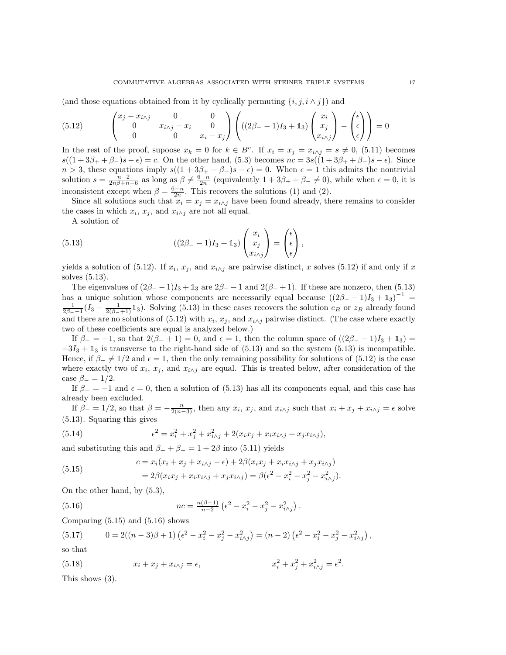(and those equations obtained from it by cyclically permuting  $\{i, j, i \wedge j\}$ ) and

<span id="page-16-0"></span>(5.12) 
$$
\begin{pmatrix} x_j - x_{i \wedge j} & 0 & 0 \\ 0 & x_{i \wedge j} - x_i & 0 \\ 0 & 0 & x_i - x_j \end{pmatrix} \begin{pmatrix} (2\beta - 1)I_3 + 1_3 \end{pmatrix} \begin{pmatrix} x_i \\ x_j \\ x_{i \wedge j} \end{pmatrix} - \begin{pmatrix} \epsilon \\ \epsilon \\ \epsilon \end{pmatrix} = 0
$$

In the rest of the proof, supoose  $x_k = 0$  for  $k \in B^c$ . If  $x_i = x_j = x_{i \wedge j} = s \neq 0$ , [\(5.11\)](#page-15-5) becomes  $s((1+3\beta_++\beta_-)s-\epsilon)=c$ . On the other hand, [\(5.3\)](#page-14-2) becomes  $nc=3s((1+3\beta_++\beta_-)s-\epsilon)$ . Since  $n > 3$ , these equations imply  $s((1 + 3\beta_{+} + \beta_{-})s - \epsilon) = 0$ . When  $\epsilon = 1$  this admits the nontrivial solution  $s = \frac{n-2}{2n\beta + n-6}$  as long as  $\beta \neq \frac{6-n}{2n}$  (equivalently  $1 + 3\beta_+ + \beta_- \neq 0$ ), while when  $\epsilon = 0$ , it is inconsistent except when  $\beta = \frac{6-n}{2n}$ . This recovers the solutions [\(1\)](#page-15-3) and [\(2\)](#page-15-4).

Since all solutions such that  $x_i = x_j = x_{i \wedge j}$  have been found already, there remains to consider the cases in which  $x_i, x_j$ , and  $x_{i \wedge j}$  are not all equal.

A solution of

<span id="page-16-1"></span>(5.13) 
$$
((2\beta_{-} - 1)I_3 + \mathbb{1}_3) \begin{pmatrix} x_i \\ x_j \\ x_{i \wedge j} \end{pmatrix} = \begin{pmatrix} \epsilon \\ \epsilon \\ \epsilon \end{pmatrix},
$$

yields a solution of  $(5.12)$ . If  $x_i$ ,  $x_j$ , and  $x_{i \wedge j}$  are pairwise distinct, x solves  $(5.12)$  if and only if x solves [\(5.13\)](#page-16-1).

The eigenvalues of  $(2\beta - 1)I_3 + \mathbb{1}_3$  are  $2\beta - 1$  and  $2(\beta - 1)$ . If these are nonzero, then [\(5.13\)](#page-16-1) has a unique solution whose components are necessarily equal because  $((2\beta - 1)I_3 + 1_3)^{-1}$  $\frac{1}{2\beta-1}(I_3-\frac{1}{2(\beta-1)}\mathbb{1}_3)$ . Solving [\(5.13\)](#page-16-1) in these cases recovers the solution  $e_B$  or  $z_B$  already found and there are no solutions of  $(5.12)$  with  $x_i, x_j$ , and  $x_i\lambda_j$  pairwise distinct. (The case where exactly two of these coefficients are equal is analyzed below.)

If  $\beta = -1$ , so that  $2(\beta - 1) = 0$ , and  $\epsilon = 1$ , then the column space of  $((2\beta - 1)I_3 + 1_3) =$  $-3I_3 + 1_3$  is transverse to the right-hand side of [\(5.13\)](#page-16-1) and so the system (5.13) is incompatible. Hence, if  $\beta = \neq 1/2$  and  $\epsilon = 1$ , then the only remaining possibility for solutions of [\(5.12\)](#page-16-0) is the case where exactly two of  $x_i$ ,  $x_j$ , and  $x_{i \wedge j}$  are equal. This is treated below, after consideration of the case  $\beta_{-} = 1/2$ .

If  $\beta_- = -1$  and  $\epsilon = 0$ , then a solution of [\(5.13\)](#page-16-1) has all its components equal, and this case has already been excluded.

If  $\beta_- = 1/2$ , so that  $\beta = -\frac{n}{2(n-3)}$ , then any  $x_i, x_j$ , and  $x_{i \wedge j}$  such that  $x_i + x_j + x_{i \wedge j} = \epsilon$  solve [\(5.13\)](#page-16-1). Squaring this gives

(5.14) 
$$
\epsilon^2 = x_i^2 + x_j^2 + x_{i \wedge j}^2 + 2(x_i x_j + x_i x_{i \wedge j} + x_j x_{i \wedge j}),
$$

and substituting this and  $\beta_+ + \beta_- = 1 + 2\beta$  into [\(5.11\)](#page-15-5) yields

<span id="page-16-2"></span>(5.15) 
$$
c = x_i(x_i + x_j + x_{i \wedge j} - \epsilon) + 2\beta(x_i x_j + x_i x_{i \wedge j} + x_j x_{i \wedge j})
$$

$$
= 2\beta(x_i x_j + x_i x_{i \wedge j} + x_j x_{i \wedge j}) = \beta(\epsilon^2 - x_i^2 - x_j^2 - x_{i \wedge j}^2).
$$

On the other hand, by [\(5.3\)](#page-14-2),

<span id="page-16-3"></span>(5.16) 
$$
nc = \frac{n(\beta - 1)}{n - 2} \left( \epsilon^2 - x_i^2 - x_j^2 - x_{i \wedge j}^2 \right).
$$

Comparing  $(5.15)$  and  $(5.16)$  shows

(5.17) 
$$
0 = 2((n-3)\beta + 1)(\epsilon^2 - x_i^2 - x_j^2 - x_{i \wedge j}^2) = (n-2)(\epsilon^2 - x_i^2 - x_j^2 - x_{i \wedge j}^2),
$$

so that

(5.18) 
$$
x_i + x_j + x_{i \wedge j} = \epsilon, \qquad x_i^2 + x_j^2 + x_{i \wedge j}^2 = \epsilon^2.
$$

This shows [\(3\)](#page-15-6).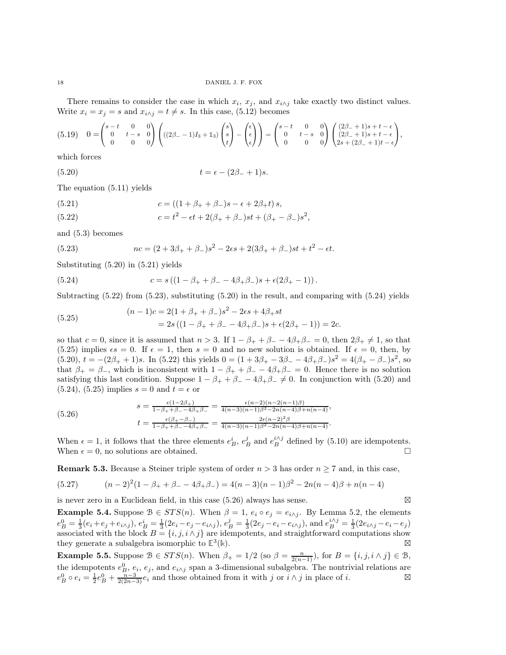There remains to consider the case in which  $x_i$ ,  $x_j$ , and  $x_{i \wedge j}$  take exactly two distinct values. Write  $x_i = x_j = s$  and  $x_{i \wedge j} = t \neq s$ . In this case, [\(5.12\)](#page-16-0) becomes

$$
(5.19) \quad 0 = \begin{pmatrix} s-t & 0 & 0 \\ 0 & t-s & 0 \\ 0 & 0 & 0 \end{pmatrix} \left( ((2\beta_--1)I_3 + 1_3) \begin{pmatrix} s \\ s \\ t \end{pmatrix} - \begin{pmatrix} \epsilon \\ \epsilon \\ \epsilon \end{pmatrix} \right) = \begin{pmatrix} s-t & 0 & 0 \\ 0 & t-s & 0 \\ 0 & 0 & 0 \end{pmatrix} \begin{pmatrix} (2\beta_-+1)s+t-\epsilon \\ (2\beta_-+1)s+t-\epsilon \\ 2s+(2\beta_-+1)t-\epsilon \end{pmatrix},
$$

which forces

<span id="page-17-0"></span>(5.20) 
$$
t = \epsilon - (2\beta_{-} + 1)s.
$$

The equation [\(5.11\)](#page-15-5) yields

<span id="page-17-1"></span>(5.21) 
$$
c = ((1 + \beta_{+} + \beta_{-})s - \epsilon + 2\beta_{+}t)s,
$$

<span id="page-17-2"></span>(5.22) 
$$
c = t^2 - \epsilon t + 2(\beta_+ + \beta_-)st + (\beta_+ - \beta_-)s^2,
$$

and [\(5.3\)](#page-14-2) becomes

<span id="page-17-3"></span>(5.23) 
$$
nc = (2 + 3\beta_{+} + \beta_{-})s^{2} - 2\epsilon s + 2(3\beta_{+} + \beta_{-})st + t^{2} - \epsilon t.
$$

Substituting [\(5.20\)](#page-17-0) in [\(5.21\)](#page-17-1) yields

<span id="page-17-4"></span>(5.24) 
$$
c = s ((1 - \beta_{+} + \beta_{-} - 4\beta_{+}\beta_{-})s + \epsilon(2\beta_{+} - 1)).
$$

Subtracting  $(5.22)$  from  $(5.23)$ , substituting  $(5.20)$  in the result, and comparing with  $(5.24)$  yields

<span id="page-17-5"></span>(5.25) 
$$
(n-1)c = 2(1 + \beta_+ + \beta_-)s^2 - 2\epsilon s + 4\beta_+ st = 2s((1 - \beta_+ + \beta_- - 4\beta_+ \beta_-)s + \epsilon(2\beta_+ - 1)) = 2c.
$$

so that  $c = 0$ , since it is assumed that  $n > 3$ . If  $1 - \beta_+ + \beta_- - 4\beta_+\beta_- = 0$ , then  $2\beta_+ \neq 1$ , so that [\(5.25\)](#page-17-5) implies  $\epsilon s = 0$ . If  $\epsilon = 1$ , then  $s = 0$  and no new solution is obtained. If  $\epsilon = 0$ , then, by  $(5.20), t = -(2\beta_+ + 1)s$  $(5.20), t = -(2\beta_+ + 1)s$ . In  $(5.22)$  this yields  $0 = (1 + 3\beta_+ - 3\beta_- - 4\beta_+\beta_-)s^2 = 4(\beta_+ - \beta_-)s^2$ , so that  $\beta_+ = \beta_-$ , which is inconsistent with  $1 - \beta_+ + \beta_- - 4\beta_+\beta_- = 0$ . Hence there is no solution satisfying this last condition. Suppose  $1 - \beta_+ + \beta_- - 4\beta_+\beta_- \neq 0$ . In conjunction with [\(5.20\)](#page-17-0) and  $(5.24)$ ,  $(5.25)$  implies  $s = 0$  and  $t = \epsilon$  or

<span id="page-17-6"></span>
$$
(5.26)
$$
\n
$$
s = \frac{\epsilon(1-2\beta_+)}{1-\beta_+ + \beta_- - 4\beta_+\beta_-} = \frac{\epsilon(n-2)(n-2(n-1)\beta)}{4(n-3)(n-1)\beta^2 - 2n(n-4)\beta_+ + (n-4)},
$$
\n
$$
t = \frac{\epsilon(\beta_+ - \beta_-)}{1-\beta_+ + \beta_- - 4\beta_+\beta_-} = \frac{2\epsilon(n-2)^2\beta_+}{4(n-3)(n-1)\beta^2 - 2n(n-4)\beta_+ + (n-4)}.
$$

When  $\epsilon = 1$ , it follows that the three elements  $e_B^i$ ,  $e_B^j$  and  $e_B^{i \wedge j}$  defined by [\(5.10\)](#page-15-7) are idempotents. When  $\epsilon = 0$ , no solutions are obtained.

**Remark 5.3.** Because a Steiner triple system of order  $n > 3$  has order  $n \ge 7$  and, in this case,

$$
(5.27) \qquad (n-2)^2(1-\beta_+ + \beta_- - 4\beta_+\beta_-) = 4(n-3)(n-1)\beta^2 - 2n(n-4)\beta + n(n-4)
$$

is never zero in a Euclidean field, in this case [\(5.26\)](#page-17-6) always has sense. ⊠

**Example 5.4.** Suppose  $\mathcal{B} \in STS(n)$ . When  $\beta = 1$ ,  $e_i \circ e_j = e_{i \wedge j}$ . By Lemma [5.2,](#page-15-2) the elements  $e_B^0 = \frac{1}{3}(e_i + e_j + e_{i \wedge j}), e_B^i = \frac{1}{3}(2e_i - e_j - e_{i \wedge j}), e_B^j = \frac{1}{3}(2e_j - e_i - e_{i \wedge j}),$  and  $e_B^{i \wedge j} = \frac{1}{3}(2e_{i \wedge j} - e_i - e_j)$ associated with the block  $B = \{i, j, i \wedge j\}$  are idempotents, and straightforward computations show they generate a subalgebra isomorphic to **E** 3 (**k**). ⊠

**Example 5.5.** Suppose  $\mathcal{B} \in STS(n)$ . When  $\beta_+ = 1/2$  (so  $\beta = \frac{n}{2(n-1)}$ ), for  $B = \{i, j, i \wedge j\} \in \mathcal{B}$ , the idempotents  $e_B^0$ ,  $e_i$ ,  $e_j$ , and  $e_{i \wedge j}$  span a 3-dimensional subalgebra. The nontrivial relations are  $e_B^0 \circ e_i = \frac{1}{2}e_B^0 + \frac{n-3}{2(2n-3)}e_i$  and those obtained from it with j or  $i \wedge j$  in place of i.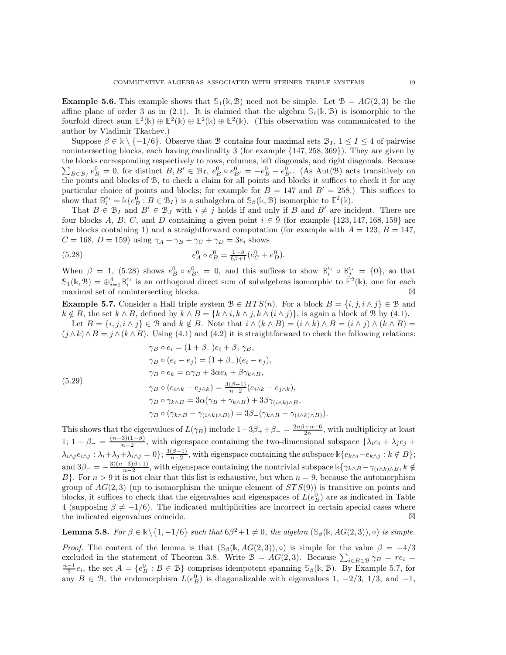<span id="page-18-0"></span>**Example 5.6.** This example shows that  $\mathcal{S}_1(\mathbb{k}, \mathcal{B})$  need not be simple. Let  $\mathcal{B} = AG(2, 3)$  be the affine plane of order 3 as in [\(2.1\)](#page-2-3). It is claimed that the algebra  $\mathcal{S}_1(\mathbb{k}, \mathcal{B})$  is isomorphic to the fourfold direct sum  $\mathbb{E}^2(\mathbb{k}) \oplus \mathbb{E}^2(\mathbb{k}) \oplus \mathbb{E}^2(\mathbb{k})$ . (This observation was communicated to the author by Vladimir Tkachev.)

Suppose  $\beta \in \mathbb{R} \setminus \{-1/6\}$ . Observe that B contains four maximal sets  $\mathcal{B}_I$ ,  $1 \leq I \leq 4$  of pairwise nonintersecting blocks, each having cardinality 3 (for example {147, 258, 369}). They are given by the blocks corresponding respectively to rows, columns, le ft diagonals, and right diagonals. Because  $\sum_{B\in\mathcal{B}_I}e_B^0=0$ , for distinct  $B, B'\in\mathcal{B}_I$ ,  $e_B^0\circ e_{B'}^0=-e_B^0-e_{B'}^0$ . (As Aut(B) acts transitively on the points and blocks of B, to check a claim for all points and blocks it suffices to check it for any particular choice of points and blocks; for example for  $B = 147$  and  $B' = 258$ .) This suffices to show that  $\mathbb{B}_i^{e_i} = \mathbb{k}\{e_B^0 : B \in \mathcal{B}_I\}$  is a subalgebra of  $\mathbb{S}_{\beta}(\mathbb{k}, \mathcal{B})$  isomorphic to  $\mathbb{E}^2(\mathbb{k})$ .

That  $B \in \mathcal{B}_I$  and  $B' \in \mathcal{B}_J$  with  $i \neq j$  holds if and only if B and B' are incident. There are four blocks A, B, C, and D containing a given point  $i \in \overline{9}$  (for example {123, 147, 168, 159} are the blocks containing 1) and a straightforward computation (for example with  $A = 123$ ,  $B = 147$ ,  $C = 168$ ,  $D = 159$ ) using  $\gamma_A + \gamma_B + \gamma_C + \gamma_D = 3e_i$  shows

<span id="page-18-2"></span>(5.28) 
$$
e_A^0 \circ e_B^0 = \frac{1-\beta}{6\beta+1} (e_C^0 + e_D^0).
$$

When  $\beta = 1$ , [\(5.28\)](#page-18-2) shows  $e_B^0 \circ e_{B'}^0 = 0$ , and this suffices to show  $\mathbb{B}_i^{e_i} \circ \mathbb{B}_j^{e_i} = \{0\}$ , so that  $\mathcal{S}_1(\mathbb{k}, \mathcal{B}) = \bigoplus_{i=1}^4 \mathbb{B}_i^{e_i}$  is an orthogonal direct sum of subalgebras isomorphic to  $\mathbb{E}^2(\mathbb{k})$ , one for each maximal set of nonintersecting blocks.

<span id="page-18-3"></span>**Example 5.7.** Consider a Hall triple system  $\mathcal{B} \in HTS(n)$ . For a block  $B = \{i, j, i \wedge j\} \in \mathcal{B}$  and  $k \notin B$ , the set  $k \wedge B$ , defined by  $k \wedge B = \{k \wedge i, k \wedge j, k \wedge (i \wedge j)\}\)$ , is again a block of B by [\(4.1\)](#page-9-3).

Let  $B = \{i, j, i \wedge j\} \in \mathcal{B}$  and  $k \notin B$ . Note that  $i \wedge (k \wedge B) = (i \wedge k) \wedge B = (i \wedge j) \wedge (k \wedge B) =$  $(j \wedge k) \wedge B = j \wedge (k \wedge B)$ . Using [\(4.1\)](#page-9-3) and [\(4.2\)](#page-9-1) it is straightforward to check the following relations:

(5.29)  
\n
$$
\gamma_B \circ e_i = (1 + \beta_-)e_i + \beta_+\gamma_B,
$$
\n
$$
\gamma_B \circ (e_i - e_j) = (1 + \beta_-)(e_i - e_j),
$$
\n
$$
\gamma_B \circ e_k = \alpha \gamma_B + 3\alpha e_k + \beta \gamma_{k \wedge B},
$$
\n
$$
\gamma_B \circ (e_{i \wedge k} - e_{j \wedge k}) = \frac{3(\beta - 1)}{n - 2}(e_{i \wedge k} - e_{j \wedge k}),
$$
\n
$$
\gamma_B \circ \gamma_{k \wedge B} = 3\alpha(\gamma_B + \gamma_{k \wedge B}) + 3\beta \gamma_{(i \wedge k) \wedge B},
$$
\n
$$
\gamma_B \circ (\gamma_{k \wedge B} - \gamma_{(i \wedge k) \wedge B})) = 3\beta_- (\gamma_{k \wedge B} - \gamma_{(i \wedge k) \wedge B}).
$$

This shows that the eigenvalues of  $L(\gamma_B)$  include  $1+3\beta_+ + \beta_- = \frac{2n\beta+n-6}{2n}$ , with multiplicity at least 1; 1 +  $\beta$  =  $\frac{(n-3)(1-\beta)}{n-2}$  $\frac{3(1-p)}{n-2}$ , with eigenspace containing the two-dimensional subspace  $\{\lambda_i e_i + \lambda_j e_j + \lambda_j e_j\}$  $\lambda_{i\wedge j}e_{i\wedge j}:\lambda_i+\lambda_j+\lambda_{i\wedge j}=0\};\frac{3(\beta-1)}{n-2},$  with eigenspace containing the subspace  $\Bbbk\{e_{k\wedge i}-e_{k\wedge j}:k\notin B\};$  $n-2$ and  $3\beta_{-}=-\frac{3((n-3)\beta+1)}{n-2}$  $\frac{-3\beta+1}{n-2}$ , with eigenspace containing the nontrivial subspace  $\Bbbk\{\gamma_{k\wedge B} - \gamma_{(i\wedge k)\wedge B}, k \notin$ B}. For  $n > 9$  it is not clear that this list is exhaustive, but when  $n = 9$ , because the automorphism group of  $AG(2,3)$  (up to isomorphism the unique element of  $STS(9)$ ) is transitive on points and blocks, it suffices to check that the eigenvalues and eigenspaces of  $L(e_B^0)$  are as indicated in Table [4](#page-19-15) (supposing  $\beta \neq -1/6$ ). The indicated multiplicities are incorrect in certain special cases where the indicated eigenvalues coincide.

<span id="page-18-1"></span>**Lemma 5.8.** For  $\beta \in \mathbb{k} \setminus \{1, -1/6\}$  such that  $6\beta^2 + 1 \neq 0$ , the algebra  $(\mathbb{S}_{\beta}(\mathbb{k}, AG(2,3)), \circ)$  is simple.

*Proof.* The content of the lemma is that  $(\mathcal{S}_{\beta}(\mathbb{k}, AG(2,3)), \circ)$  is simple for the value  $\beta = -4/3$ excluded in the statement of Theorem [3.8.](#page-8-0) Write  $\mathcal{B} = AG(2,3)$ . Because  $\sum_{i \in B \in \mathcal{B}} \gamma_B = re_i$  $\frac{n-1}{2}e_i$ , the set  $\mathcal{A} = \{e_B^0 : B \in \mathcal{B}\}\)$  comprises idempotent spanning  $\mathcal{S}_{\beta}(\mathbb{k}, \mathcal{B})$ . By Example [5.7,](#page-18-3) for any  $B \in \mathcal{B}$ , the endomorphism  $L(e_B^0)$  is diagonalizable with eigenvalues 1, -2/3, 1/3, and -1,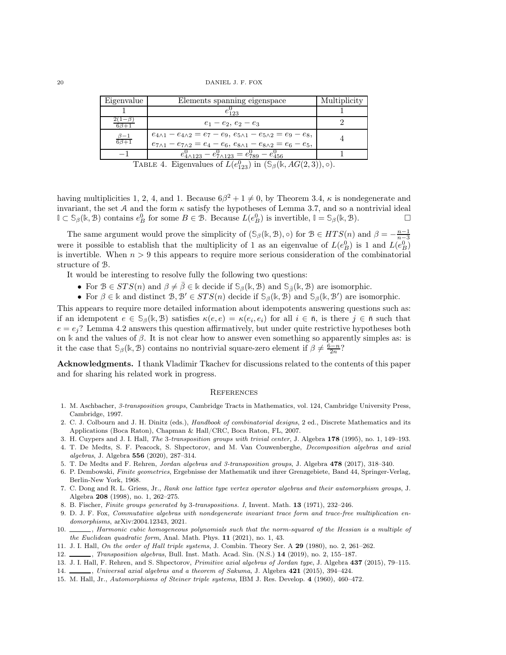20 DANIEL J. F. FOX

| Eigenvalue              | Elements spanning eigenspace                                                                                                                                                       | Multiplicity |  |  |
|-------------------------|------------------------------------------------------------------------------------------------------------------------------------------------------------------------------------|--------------|--|--|
|                         | $e_{123}$                                                                                                                                                                          |              |  |  |
|                         | $e_1 - e_2, e_2 - e_3$                                                                                                                                                             |              |  |  |
| $\beta-1$<br>$6\beta+1$ | $e_{4\wedge 1} - e_{4\wedge 2} = e_7 - e_9, e_{5\wedge 1} - e_{5\wedge 2} = e_9 - e_8,$<br>$e_{7\wedge 1} - e_{7\wedge 2} = e_4 - e_6, e_{8\wedge 1} - e_{8\wedge 2} = e_6 - e_5,$ |              |  |  |
|                         | $e_{4\wedge 123}^0 - e_{7\wedge 123}^0 = e_{789}^0 - e_{456}^0$                                                                                                                    |              |  |  |
|                         |                                                                                                                                                                                    |              |  |  |

<span id="page-19-15"></span>TABLE 4. Eigenvalues of  $L(e_{123}^0)$  in  $(\mathbb{S}_{\beta}(\mathbb{k}, AG(2,3)), \circ)$ .

having multiplicities 1, 2, 4, and 1. Because  $6\beta^2 + 1 \neq 0$ , by Theorem [3.4,](#page-6-0)  $\kappa$  is nondegenerate and invariant, the set A and the form  $\kappa$  satisfy the hypotheses of Lemma [3.7,](#page-8-2) and so a nontrivial ideal **I** ⊂ **S**<sub>β</sub>(**k**, **B**) contains  $e_B^0$  for some  $B \in \mathcal{B}$ . Because  $L(e_B^0)$  is invertible,  $\mathbb{I} = \mathcal{S}_{\beta}(\mathbb{k}, \mathcal{B})$ . □

The same argument would prove the simplicity of  $(\mathbb{S}_{\beta}(\mathbb{k}, \mathbb{B}), \circ)$  for  $\mathbb{B} \in HTS(n)$  and  $\beta = -\frac{n-1}{n-3}$ were it possible to establish that the multiplicity of 1 as an eigenvalue of  $L(e_B^0)$  is 1 and  $L(e_B^0)$ is invertible. When  $n > 9$  this appears to require more serious consideration of the combinatorial structure of B.

It would be interesting to resolve fully the following two questions:

- For  $\mathcal{B} \in STS(n)$  and  $\beta \neq \overline{\beta} \in \mathbb{k}$  decide if  $\mathcal{S}_{\beta}(\mathbb{k}, \mathcal{B})$  and  $\mathcal{S}_{\overline{\beta}}(\mathbb{k}, \mathcal{B})$  are isomorphic.
- For  $\beta \in \mathbb{k}$  and distinct  $\mathcal{B}, \mathcal{B}' \in STS(n)$  decide if  $\mathcal{S}_{\beta}(\mathbb{k}, \mathcal{B})$  and  $\mathcal{S}_{\beta}(\mathbb{k}, \mathcal{B}')$  are isomorphic.

This appears to require more detailed information about idempotents answering questions such as: if an idempotent  $e \in \mathcal{S}_{\beta}(\mathbb{k}, \mathcal{B})$  satisfies  $\kappa(e, e) = \kappa(e_i, e_i)$  for all  $i \in \bar{\mathfrak{n}}$ , is there  $j \in \bar{\mathfrak{n}}$  such that  $e = e_i$ ? Lemma [4.2](#page-12-1) answers this question affirmatively, but under quite restrictive hypotheses both on  $\Bbbk$  and the values of  $\beta$ . It is not clear how to answer even something so apparently simples as: is it the case that  $\mathcal{S}_{\beta}(\mathbb{k}, \mathcal{B})$  contains no nontrivial square-zero element if  $\beta \neq \frac{6-n}{2n}$ ?

Acknowledgments. I thank Vladimir Tkachev for discussions related to the contents of this paper and for sharing his related work in progress.

### **REFERENCES**

- <span id="page-19-5"></span>1. M. Aschbacher, *3-transposition groups*, Cambridge Tracts in Mathematics, vol. 124, Cambridge University Press, Cambridge, 1997.
- <span id="page-19-6"></span>2. C. J. Colbourn and J. H. Dinitz (eds.), *Handbook of combinatorial designs*, 2 ed., Discrete Mathematics and its Applications (Boca Raton), Chapman & Hall/CRC, Boca Raton, FL, 2007.
- <span id="page-19-12"></span><span id="page-19-3"></span>3. H. Cuypers and J. I. Hall, *The* 3*-transposition groups with trivial center*, J. Algebra 178 (1995), no. 1, 149–193.
- 4. T. De Medts, S. F. Peacock, S. Shpectorov, and M. Van Couwenberghe, *Decomposition algebras and axial algebras*, J. Algebra 556 (2020), 287–314.
- <span id="page-19-10"></span><span id="page-19-7"></span>5. T. De Medts and F. Rehren, *Jordan algebras and 3-transposition groups*, J. Algebra 478 (2017), 318–340.
- 6. P. Dembowski, *Finite geometries*, Ergebnisse der Mathematik und ihrer Grenzgebiete, Band 44, Springer-Verlag, Berlin-New York, 1968.
- <span id="page-19-8"></span>7. C. Dong and R. L. Griess, Jr., *Rank one lattice type vertex operator algebras and their automorphism groups*, J. Algebra 208 (1998), no. 1, 262–275.
- <span id="page-19-14"></span><span id="page-19-0"></span>8. B. Fischer, *Finite groups generated by* 3*-transpositions. I*, Invent. Math. 13 (1971), 232–246.
- 9. D. J. F. Fox, *Commutative algebras with nondegenerate invariant trace form and trace-free multiplication endomorphisms*, [arXiv:2004.12343,](https://arxiv.org/abs/2004.12343) 2021.
- <span id="page-19-1"></span>10.  $\_\_\_\_\$ nermonic cubic homogeneous polynomials such that the norm-squared of the Hessian is a multiple of *the Euclidean quadratic form*, Anal. Math. Phys. 11 (2021), no. 1, 43.
- <span id="page-19-11"></span><span id="page-19-2"></span>11. J. I. Hall, *On the order of Hall triple systems*, J. Combin. Theory Ser. A 29 (1980), no. 2, 261–262.
- <span id="page-19-9"></span>12. , *Transposition algebras*, Bull. Inst. Math. Acad. Sin. (N.S.) 14 (2019), no. 2, 155–187.
- <span id="page-19-4"></span>13. J. I. Hall, F. Rehren, and S. Shpectorov, *Primitive axial algebras of Jordan type*, J. Algebra 437 (2015), 79–115.
- <span id="page-19-13"></span>14. , *Universal axial algebras and a theorem of Sakuma*, J. Algebra 421 (2015), 394–424.
- 15. M. Hall, Jr., *Automorphisms of Steiner triple systems*, IBM J. Res. Develop. 4 (1960), 460–472.